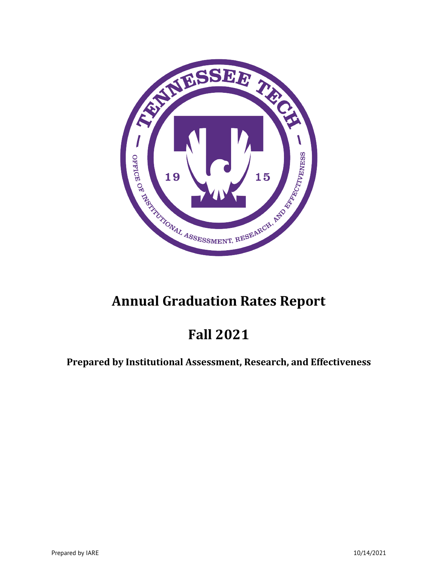

# **Annual Graduation Rates Report**

# **Fall 2021**

## **Prepared by Institutional Assessment, Research, and Effectiveness**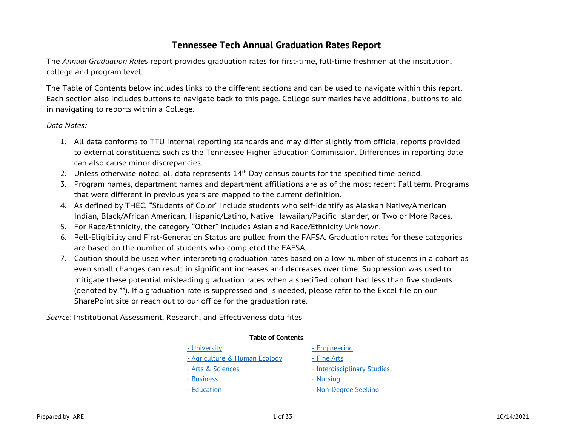### **Tennessee Tech Annual Graduation Rates Report**

The *Annual Graduation Rates* report provides graduation rates for first-time, full-time freshmen at the institution, college and program level.

The Table of Contents below includes links to the different sections and can be used to navigate within this report. Each section also includes buttons to navigate back to this page. College summaries have additional buttons to aid in navigating to reports within a College.

#### *Data Notes:*

- 1. All data conforms to TTU internal reporting standards and may differ slightly from official reports provided to external constituents such as the Tennessee Higher Education Commission. Differences in reporting date can also cause minor discrepancies.
- 2. Unless otherwise noted, all data represents  $14<sup>th</sup>$  Day census counts for the specified time period.
- 3. Program names, department names and department affiliations are as of the most recent Fall term. Programs that were different in previous years are mapped to the current definition.
- 4. As defined by THEC, "Students of Color" include students who self-identify as Alaskan Native/American Indian, Black/African American, Hispanic/Latino, Native Hawaiian/Pacific Islander, or Two or More Races.
- 5. For Race/Ethnicity, the category "Other" includes Asian and Race/Ethnicity Unknown.
- 6. Pell-Eligibility and First-Generation Status are pulled from the FAFSA. Graduation rates for these categories are based on the number of students who completed the FAFSA.
- 7. Caution should be used when interpreting graduation rates based on a low number of students in a cohort as even small changes can result in significant increases and decreases over time. Suppression was used to mitigate these potential misleading graduation rates when a specified cohort had less than five students (denoted by \*\*). If a graduation rate is suppressed and is needed, please refer to the Excel file on our SharePoint site or reach out to our office for the graduation rate.

*Source*: Institutional Assessment, Research, and Effectiveness data files

| <b>Table of Contents</b>      |                             |  |  |  |  |  |  |
|-------------------------------|-----------------------------|--|--|--|--|--|--|
| - University                  | - Engineering               |  |  |  |  |  |  |
| - Agriculture & Human Ecology | - Fine Arts                 |  |  |  |  |  |  |
| - Arts & Sciences             | - Interdisciplinary Studies |  |  |  |  |  |  |
| - Business                    | <u>- Nursing</u>            |  |  |  |  |  |  |
| - Education                   | - Non-Degree Seeking        |  |  |  |  |  |  |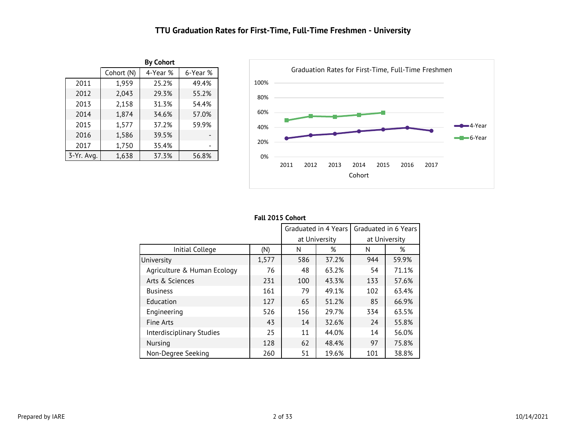### **TTU Graduation Rates for First-Time, Full-Time Freshmen - University**

<span id="page-2-0"></span>

|            |            | <b>By Cohort</b> |          |
|------------|------------|------------------|----------|
|            | Cohort (N) | 4-Year %         | 6-Year % |
| 2011       | 1,952      | 25.1%            | 49.3%    |
| 2012       | 2,043      | 29.3%            | 55.2%    |
| 2013       | 2,160      | 31.3%            | 54.4%    |
| 2014       | 1,874      | 34.6%            | 57.0%    |
| 2015       | 1,577      | 37.2%            | 59.9%    |
| 2016       | 1,586      | 39.5%            |          |
| 2017       | 1,750      | 35.4%            |          |
| 3-Yr. Avg. | 1,638      | 37.3%            | 56.8%    |



|                             | Fall 2015 Cohort |     |                      |                      |       |  |
|-----------------------------|------------------|-----|----------------------|----------------------|-------|--|
|                             |                  |     | Graduated in 4 Years | Graduated in 6 Years |       |  |
|                             |                  |     | at University        | at University        |       |  |
| Initial College             | (N)              | Ν   | %                    | N                    | %     |  |
| University                  | 1,577            | 586 | 37.2%                | 944                  | 59.9% |  |
| Agriculture & Human Ecology | 76               | 48  | 63.2%                | 54                   | 71.1% |  |
| Arts & Sciences             | 231              | 100 | 43.3%                | 133                  | 57.6% |  |
| <b>Business</b>             | 161              | 79  | 49.1%                | 102                  | 63.4% |  |
| Education                   | 127              | 65  | 51.2%                | 85                   | 66.9% |  |
| Engineering                 | 526              | 156 | 29.7%                | 334                  | 63.5% |  |
| Fine Arts                   | 43               | 14  | 32.6%                | 24                   | 55.8% |  |
| Interdisciplinary Studies   | 25               | 11  | 44.0%                | 14                   | 56.0% |  |
| Nursing                     | 128              | 62  | 48.4%                | 97                   | 75.8% |  |
| Non-Degree Seeking          | 260              | 51  | 19.6%                | 101                  | 38.8% |  |

#### **Fall 2015 Cohort**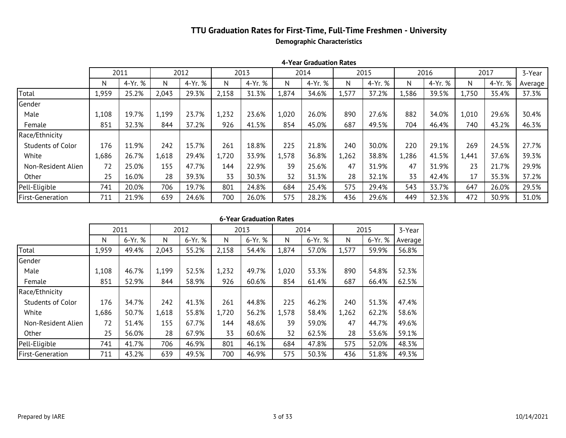### **TTU Graduation Rates for First-Time, Full-Time Freshmen - University Demographic Characteristics**

|                          |       | 2011    |       | 2012    |       | 2013    |       | 2014    |       | 2015    |       | 2016    |       | 2017    | 3-Year  |
|--------------------------|-------|---------|-------|---------|-------|---------|-------|---------|-------|---------|-------|---------|-------|---------|---------|
|                          | N     | 4-Yr. % | N     | 4-Yr. % | N     | 4-Yr. % | N     | 4-Yr. % | N     | 4-Yr. % | N     | 4-Yr. % | N     | 4-Yr. % | Average |
| Total                    | 1,952 | 25.1%   | 2,043 | 29.3%   | 2,160 | 31.3%   | 1,874 | 34.6%   | 1,577 | 37.2%   | 1,586 | 39.5%   | 1,750 | 35.4%   | 37.3%   |
| Gender                   |       |         |       |         |       |         |       |         |       |         |       |         |       |         |         |
| Male                     | 1,104 | 19.5%   | 1,199 | 23.7%   | 1,234 | 23.6%   | 1,020 | 26.0%   | 890   | 27.6%   | 882   | 34.0%   | 1,010 | 29.6%   | 30.4%   |
| Female                   | 848   | 32.4%   | 844   | 37.2%   | 926   | 41.5%   | 854   | 45.0%   | 687   | 49.5%   | 704   | 46.4%   | 740   | 43.2%   | 46.3%   |
| Race/Ethnicity           |       |         |       |         |       |         |       |         |       |         |       |         |       |         |         |
| <b>Students of Color</b> | 174   | 12.1%   | 242   | 15.7%   | 262   | 18.7%   | 225   | 21.8%   | 240   | 30.0%   | 220   | 29.1%   | 269   | 24.5%   | 27.7%   |
| White                    | 1,681 | 26.6%   | 1,618 | 29.4%   | 1,721 | 33.9%   | 1,578 | 36.8%   | 1,262 | 38.8%   | 1,286 | 41.5%   | 1,441 | 37.6%   | 39.3%   |
| Non-Resident Alien       | 72    | 25.0%   | 155   | 47.7%   | 144   | 22.9%   | 39    | 25.6%   | 47    | 31.9%   | 47    | 31.9%   | 23    | 21.7%   | 29.9%   |
| Other                    | 25    | 16.0%   | 28    | 39.3%   | 33    | 30.3%   | 32    | 31.3%   | 28    | 32.1%   | 33    | 42.4%   | 17    | 35.3%   | 37.2%   |
| Pell-Eligible            | 739   | 19.8%   | 706   | 19.7%   | 803   | 24.8%   | 684   | 25.4%   | 575   | 29.4%   | 543   | 33.7%   | 647   | 26.0%   | 29.5%   |
| First-Generation         | 708   | 21.8%   | 639   | 24.6%   | 701   | 26.0%   | 575   | 28.2%   | 436   | 29.6%   | 449   | 32.3%   | 472   | 30.9%   | 31.0%   |

**4-Year Graduation Rates**

|  | 6-Year Graduation Rates |  |
|--|-------------------------|--|
|--|-------------------------|--|

|                          |       | 2011    |       | 2012    |       | 2013    |       | 2014    | 2015  |         | 3-Year  |  |  |
|--------------------------|-------|---------|-------|---------|-------|---------|-------|---------|-------|---------|---------|--|--|
|                          | N     | 6-Yr. % | N     | 6-Yr. % | N     | 6-Yr. % | N     | 6-Yr. % | N     | 6-Yr. % | Average |  |  |
| Total                    | 1,952 | 49.3%   | 2,043 | 55.2%   | 2,160 | 54.4%   | 1,874 | 57.0%   | 1,577 | 59.9%   | 56.8%   |  |  |
| Gender                   |       |         |       |         |       |         |       |         |       |         |         |  |  |
| Male                     | 1,104 | 46.5%   | 1,199 | 52.5%   | 1,234 | 49.7%   | 1,020 | 53.3%   | 890   | 54.8%   | 52.3%   |  |  |
| Female                   | 848   | 53.1%   | 844   | 58.9%   | 926   | 60.6%   | 854   | 61.4%   | 687   | 66.4%   | 62.5%   |  |  |
| Race/Ethnicity           |       |         |       |         |       |         |       |         |       |         |         |  |  |
| <b>Students of Color</b> | 174   | 35.1%   | 242   | 41.3%   | 262   | 44.7%   | 225   | 46.2%   | 240   | 51.3%   | 47.3%   |  |  |
| White                    | 1,681 | 50.6%   | 1,618 | 55.8%   | 1,721 | 56.2%   | 1,578 | 58.4%   | 1,262 | 62.2%   | 58.6%   |  |  |
| Non-Resident Alien       | 72    | 51.4%   | 155   | 67.7%   | 144   | 48.6%   | 39    | 59.0%   | 47    | 44.7%   | 49.6%   |  |  |
| Other                    | 25    | 56.0%   | 28    | 67.9%   | 33    | 60.6%   | 32    | 62.5%   | 28    | 53.6%   | 59.1%   |  |  |
| Pell-Eligible            | 739   | 41.5%   | 706   | 46.9%   | 803   | 46.1%   | 684   | 47.8%   | 575   | 52.0%   | 48.3%   |  |  |
| <b>First-Generation</b>  | 708   | 43.1%   | 639   | 49.5%   | 701   | 46.8%   | 575   | 50.3%   | 436   | 51.8%   | 49.2%   |  |  |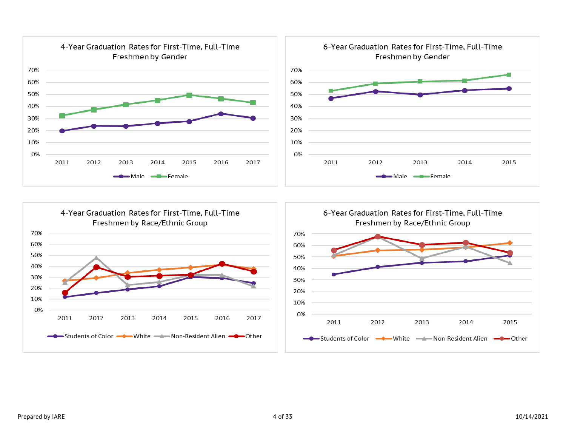

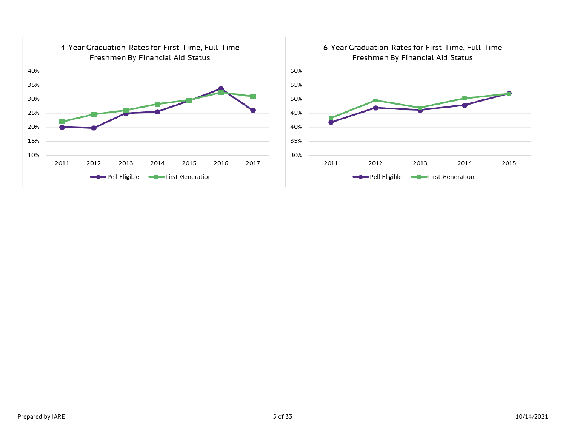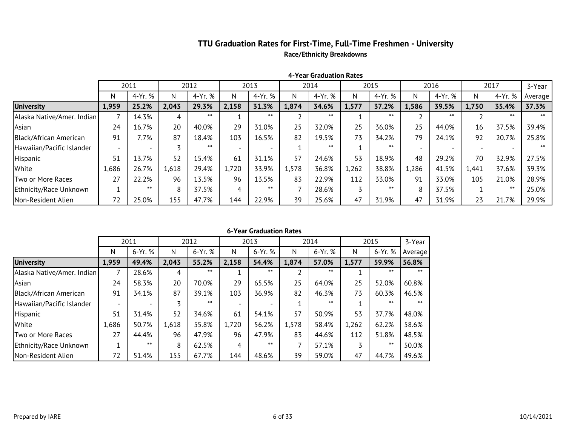### **TTU Graduation Rates for First-Time, Full-Time Freshmen - University Race/Ethnicity Breakdowns**

|                            | 2011  |         | 2012  |         |       | 2013    |       | 2014    | 2015  |         | 2016  |         | 2017  |         | 3-Year  |
|----------------------------|-------|---------|-------|---------|-------|---------|-------|---------|-------|---------|-------|---------|-------|---------|---------|
|                            | N     | 4-Yr. % | Ν     | 4-Yr. % | N     | 4-Yr. % | N     | 4-Yr. % | N     | 4-Yr. % | N     | 4-Yr. % | N     | 4-Yr. % | Average |
| <b>University</b>          | 1,952 | 25.1%   | 2,043 | 29.3%   | 2,160 | 31.3%   | 1,874 | 34.6%   | 1,577 | 37.2%   | 1,586 | 39.5%   | 1,750 | 35.4%   | 37.3%   |
| Alaska Native/Amer. Indian |       | 14.3%   |       | $***$   |       | $***$   |       | $***$   |       | $***$   |       | $***$   |       | ⋇⋇      | $***$   |
| Asian                      | 24    | 16.7%   | 20    | 40.0%   | 29    | 31.0%   | 25    | 32.0%   | 25    | 36.0%   | 25    | 44.0%   | 16    | 37.5%   | 39.4%   |
| Black/African American     | 89    | 7.9%    | 87    | 18.4%   | 104   | 16.3%   | 82    | 19.5%   | 73    | 34.2%   | 79    | 24.1%   | 92    | 20.7%   | 25.8%   |
| Hawaiian/Pacific Islander  |       |         |       | $***$   |       |         |       | $***$   |       | $***$   |       |         |       |         | $***$   |
| Hispanic                   | 51    | 13.7%   | 52    | 15.4%   | 61    | 31.1%   | 57    | 24.6%   | 53    | 18.9%   | 48    | 29.2%   | 70    | 32.9%   | 27.5%   |
| White                      | 1,681 | 26.6%   | 1,618 | 29.4%   | 1,721 | 33.9%   | 1,578 | 36.8%   | 1,262 | 38.8%   | 1,286 | 41.5%   | 1,441 | 37.6%   | 39.3%   |
| Two or More Races          | 27    | 22.2%   | 96    | 13.5%   | 96    | 13.5%   | 83    | 22.9%   | 112   | 33.0%   | 91    | 33.0%   | 105   | 21.0%   | 28.9%   |
| Ethnicity/Race Unknown     |       | $***$   | 8     | 37.5%   | 4     | $***$   |       | 28.6%   |       | $***$   | 8     | 37.5%   |       | $***$   | 25.0%   |
| Non-Resident Alien         | 72    | 25.0%   | 155   | 47.7%   | 144   | 22.9%   | 39    | 25.6%   | 47    | 31.9%   | 47    | 31.9%   | 23    | 21.7%   | 29.9%   |

**4-Year Graduation Rates**

|                            | 2011  |         |       | 2012    |       | 2013    |       | 2014    | 2015  | 3-Year    |         |
|----------------------------|-------|---------|-------|---------|-------|---------|-------|---------|-------|-----------|---------|
|                            | N     | 6-Yr. % | N     | 6-Yr. % | N     | 6-Yr. % | N     | 6-Yr. % | N     | $6-Yr.$ % | Average |
| <b>University</b>          | 1,952 | 49.3%   | 2,043 | 55.2%   | 2,160 | 54.4%   | 1,874 | 57.0%   | 1,577 | 59.9%     | 56.8%   |
| Alaska Native/Amer. Indian | 7     | 28.6%   | 4     | $***$   |       | $***$   |       | $***$   |       | $***$     | $***$   |
| Asian                      | 24    | 58.3%   | 20    | 70.0%   | 29    | 65.5%   | 25    | 64.0%   | 25    | 52.0%     | 60.8%   |
| Black/African American     | 89    | 34.8%   | 87    | 39.1%   | 104   | 36.5%   | 82    | 46.3%   | 73    | 60.3%     | 46.5%   |
| Hawaiian/Pacific Islander  |       |         |       | $***$   |       |         |       | $***$   |       | $***$     | $***$   |
| Hispanic                   | 51    | 31.4%   | 52    | 34.6%   | 61    | 54.1%   | 57    | 50.9%   | 53    | 37.7%     | 48.0%   |
| White                      | 1,681 | 50.6%   | 1,618 | 55.8%   | 1,721 | 56.2%   | 1,578 | 58.4%   | 1,262 | 62.2%     | 58.6%   |
| Two or More Races          | 27    | 44.4%   | 96    | 47.9%   | 96    | 47.9%   | 83    | 44.6%   | 112   | 51.8%     | 48.5%   |
| Ethnicity/Race Unknown     |       | $***$   | 8     | 62.5%   | 4     | $***$   |       | 57.1%   |       | $***$     | 50.0%   |
| Non-Resident Alien         | 72    | 51.4%   | 155   | 67.7%   | 144   | 48.6%   | 39    | 59.0%   | 47    | 44.7%     | 49.6%   |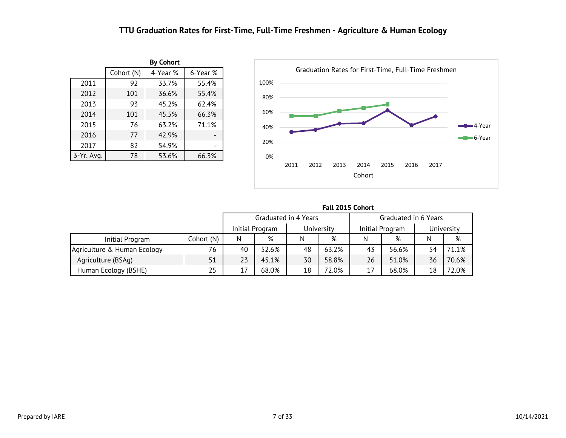### **TTU Graduation Rates for First-Time, Full-Time Freshmen - Agriculture & Human Ecology**

<span id="page-7-0"></span>

|            |            | <b>By Cohort</b> |          |
|------------|------------|------------------|----------|
|            | Cohort (N) | 4-Year %         | 6-Year % |
| 2011       | 92         | 33.7%            | 55.4%    |
| 2012       | 101        | 36.6%            | 55.4%    |
| 2013       | 93         | 45.2%            | 62.4%    |
| 2014       | 101        | 45.5%            | 66.3%    |
| 2015       | 76         | 63.2%            | 71.1%    |
| 2016       | 77         | 42.9%            |          |
| 2017       | 82         | 54.9%            |          |
| 3-Yr. Avg. | 78         | 53.6%            | 66.3%    |



|                             |            |    |                 | Graduated in 4 Years |            |    | Graduated in 6 Years |    |            |
|-----------------------------|------------|----|-----------------|----------------------|------------|----|----------------------|----|------------|
|                             |            |    | Initial Program |                      | University |    | Initial Program      |    | University |
| Initial Program             | Cohort (N) | N  | %               | N                    | %          | N  | %                    |    | %          |
| Agriculture & Human Ecology | 76         | 40 | 52.6%           | 48                   | 63.2%      | 43 | 56.6%                | 54 | 71.1%      |
| Agriculture (BSAg)          | 51         | 23 | 45.1%           | 30                   | 58.8%      | 26 | 51.0%                | 36 | 70.6%      |
| Human Ecology (BSHE)        | 25         | 17 | 68.0%           | 18                   | 72.0%      | 17 | 68.0%                | 18 | 72.0%      |

**Fall 2015 Cohort**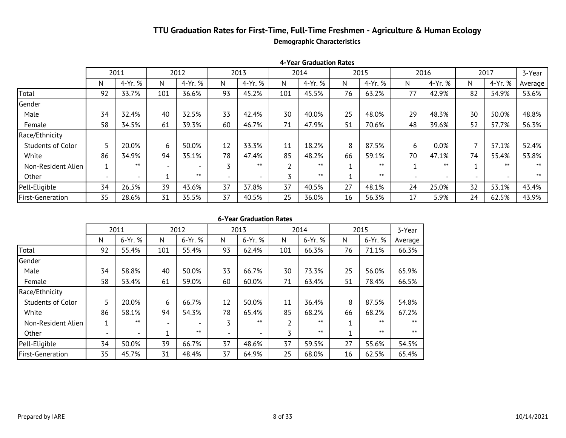### **TTU Graduation Rates for First-Time, Full-Time Freshmen - Agriculture & Human Ecology Demographic Characteristics**

|                          |                          | 2011                     |     | 2012    |                          | 2013                     |                   | 2014    |    | 2015    |                          | 2016                     |                          | 2017                     | 3-Year  |
|--------------------------|--------------------------|--------------------------|-----|---------|--------------------------|--------------------------|-------------------|---------|----|---------|--------------------------|--------------------------|--------------------------|--------------------------|---------|
|                          | N.                       | 4-Yr. %                  | N   | 4-Yr. % | N                        | 4-Yr. %                  | N                 | 4-Yr. % | N  | 4-Yr. % | N                        | 4-Yr. %                  | <sup>N</sup>             | 4-Yr. %                  | Average |
| Total                    | 92                       | 33.7%                    | 101 | 36.6%   | 93                       | 45.2%                    | 101               | 45.5%   | 76 | 63.2%   | 77                       | 42.9%                    | 82                       | 54.9%                    | 53.6%   |
| Gender                   |                          |                          |     |         |                          |                          |                   |         |    |         |                          |                          |                          |                          |         |
| Male                     | 34                       | 32.4%                    | 40  | 32.5%   | 33                       | 42.4%                    | 30                | 40.0%   | 25 | 48.0%   | 29                       | 48.3%                    | 30                       | 50.0%                    | 48.8%   |
| Female                   | 58                       | 34.5%                    | 61  | 39.3%   | 60                       | 46.7%                    | 71                | 47.9%   | 51 | 70.6%   | 48                       | 39.6%                    | 52                       | 57.7%                    | 56.3%   |
| Race/Ethnicity           |                          |                          |     |         |                          |                          |                   |         |    |         |                          |                          |                          |                          |         |
| <b>Students of Color</b> |                          | 20.0%                    | 6   | 50.0%   | 12                       | 33.3%                    | 11                | 18.2%   | 8  | 87.5%   | 6                        | 0.0%                     |                          | 57.1%                    | 52.4%   |
| White                    | 86                       | 34.9%                    | 94  | 35.1%   | 78                       | 47.4%                    | 85                | 48.2%   | 66 | 59.1%   | 70                       | 47.1%                    | 74                       | 55.4%                    | 53.8%   |
| Non-Resident Alien       | $\overline{\mathbf{A}}$  | $***$                    |     |         |                          | $***$                    | $\mathbf{\hat{}}$ | $***$   |    | $***$   |                          | $***$                    |                          | $***$                    | $***$   |
| Other                    | $\overline{\phantom{0}}$ | $\overline{\phantom{0}}$ |     | $***$   | $\overline{\phantom{0}}$ | $\overline{\phantom{0}}$ |                   | $***$   |    | $***$   | $\overline{\phantom{0}}$ | $\overline{\phantom{0}}$ | $\overline{\phantom{0}}$ | $\overline{\phantom{0}}$ | $***$   |
| Pell-Eligible            | 34                       | 26.5%                    | 39  | 43.6%   | 37                       | 37.8%                    | 37                | 40.5%   | 27 | 48.1%   | 24                       | 25.0%                    | 32                       | 53.1%                    | 43.4%   |
| First-Generation         | 35                       | 28.6%                    | 31  | 35.5%   | 37                       | 40.5%                    | 25                | 36.0%   | 16 | 56.3%   | 17                       | 5.9%                     | 24                       | 62.5%                    | 43.9%   |

|  | 6-Year Graduation Rates |  |
|--|-------------------------|--|
|--|-------------------------|--|

|                          |    | 2011                     |                          | 2012    |                          | 2013    |     | 2014    |    | 2015    | 3-Year  |
|--------------------------|----|--------------------------|--------------------------|---------|--------------------------|---------|-----|---------|----|---------|---------|
|                          | N  | 6-Yr. %                  | N                        | 6-Yr. % | N                        | 6-Yr. % | N   | 6-Yr. % | N  | 6-Yr. % | Average |
| Total                    | 92 | 55.4%                    | 101                      | 55.4%   | 93                       | 62.4%   | 101 | 66.3%   | 76 | 71.1%   | 66.3%   |
| Gender                   |    |                          |                          |         |                          |         |     |         |    |         |         |
| Male                     | 34 | 58.8%                    | 40                       | 50.0%   | 33                       | 66.7%   | 30  | 73.3%   | 25 | 56.0%   | 65.9%   |
| Female                   | 58 | 53.4%                    | 61                       | 59.0%   | 60                       | 60.0%   | 71  | 63.4%   | 51 | 78.4%   | 66.5%   |
| Race/Ethnicity           |    |                          |                          |         |                          |         |     |         |    |         |         |
| <b>Students of Color</b> | 5  | 20.0%                    | 6                        | 66.7%   | 12                       | 50.0%   | 11  | 36.4%   | 8  | 87.5%   | 54.8%   |
| White                    | 86 | 58.1%                    | 94                       | 54.3%   | 78                       | 65.4%   | 85  | 68.2%   | 66 | 68.2%   | 67.2%   |
| Non-Resident Alien       | 1  | $***$                    | $\overline{\phantom{a}}$ |         | 3                        | $***$   | 2   | $***$   | 1  | $***$   | $***$   |
| Other                    |    | $\overline{\phantom{a}}$ |                          | $***$   | $\overline{\phantom{0}}$ |         | 3   | $***$   | 1  | $***$   | $***$   |
| Pell-Eligible            | 34 | 50.0%                    | 39                       | 66.7%   | 37                       | 48.6%   | 37  | 59.5%   | 27 | 55.6%   | 54.5%   |
| <b>First-Generation</b>  | 35 | 45.7%                    | 31                       | 48.4%   | 37                       | 64.9%   | 25  | 68.0%   | 16 | 62.5%   | 65.4%   |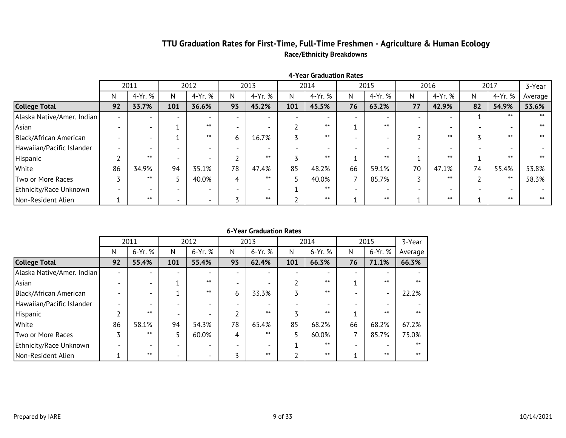### **TTU Graduation Rates for First-Time, Full-Time Freshmen - Agriculture & Human Ecology Race/Ethnicity Breakdowns**

|                            |    | 2011    |     | 2012                     |    | 2013    |     | 2014    |    | 2015    |    | 2016    |    | 2017    | 3-Year  |
|----------------------------|----|---------|-----|--------------------------|----|---------|-----|---------|----|---------|----|---------|----|---------|---------|
|                            | N  | 4-Yr. % | N   | 4-Yr. %                  | N  | 4-Yr. % | N.  | 4-Yr. % | N  | 4-Yr. % | N  | 4-Yr. % | N  | 4-Yr. % | Average |
| <b>College Total</b>       | 92 | 33.7%   | 101 | 36.6%                    | 93 | 45.2%   | 101 | 45.5%   | 76 | 63.2%   | 77 | 42.9%   | 82 | 54.9%   | 53.6%   |
| Alaska Native/Amer. Indian |    |         |     |                          |    |         |     |         |    |         |    |         |    | $***$   | $***$   |
| Asian                      |    |         |     | $***$                    |    |         |     | $***$   |    | $***$   |    |         |    |         | $***$   |
| Black/African American     |    |         |     | $***$                    | h  | 16.7%   |     | $***$   |    |         |    | $***$   |    | ᆇᆇ      | $***$   |
| Hawaiian/Pacific Islander  |    |         |     |                          |    |         |     |         |    |         |    |         |    |         |         |
| Hispanic                   |    | $***$   |     |                          |    | $***$   |     | $***$   |    | $***$   |    | $***$   |    |         |         |
| White                      | 86 | 34.9%   | 94  | 35.1%                    | 78 | 47.4%   | 85  | 48.2%   | 66 | 59.1%   | 70 | 47.1%   | 74 | 55.4%   | 53.8%   |
| Two or More Races          |    | $***$   |     | 40.0%                    |    | $***$   |     | 40.0%   |    | 85.7%   |    | $***$   |    | $***$   | 58.3%   |
| Ethnicity/Race Unknown     |    |         |     |                          |    |         |     | $***$   |    |         |    |         |    |         |         |
| Non-Resident Alien         |    | $***$   |     | $\overline{\phantom{0}}$ |    | $***$   |     | $***$   |    | $***$   |    | $***$   |    | $***$   | $***$   |

**4-Year Graduation Rates**

|                            |    | 2011    |                          | 2012    |    | 2013                     |     | 2014    |                          | 2015                     | 3-Year  |
|----------------------------|----|---------|--------------------------|---------|----|--------------------------|-----|---------|--------------------------|--------------------------|---------|
|                            | N  | 6-Yr. % | N                        | 6-Yr. % | N  | 6-Yr. %                  | N   | 6-Yr. % | N                        | 6-Yr. %                  | Average |
| <b>College Total</b>       | 92 | 55.4%   | 101                      | 55.4%   | 93 | 62.4%                    | 101 | 66.3%   | 76                       | 71.1%                    | 66.3%   |
| Alaska Native/Amer. Indian |    |         |                          |         |    |                          |     |         | $\overline{\phantom{0}}$ |                          |         |
| Asian                      |    |         |                          | $***$   |    | $\overline{\phantom{a}}$ |     | $***$   |                          | $***$                    | $***$   |
| Black/African American     |    |         |                          | $***$   | 6  | 33.3%                    |     | $***$   |                          | $\overline{\phantom{0}}$ | 22.2%   |
| Hawaiian/Pacific Islander  |    |         |                          |         |    |                          |     |         |                          |                          |         |
| Hispanic                   |    | $***$   |                          |         |    | $***$                    |     | $***$   |                          | $***$                    | $***$   |
| White                      | 86 | 58.1%   | 94                       | 54.3%   | 78 | 65.4%                    | 85  | 68.2%   | 66                       | 68.2%                    | 67.2%   |
| Two or More Races          | 3  | $***$   | 5                        | 60.0%   | 4  | $***$                    |     | 60.0%   | 7                        | 85.7%                    | 75.0%   |
| Ethnicity/Race Unknown     |    |         |                          |         |    |                          |     | $***$   | $\overline{\phantom{a}}$ |                          | $***$   |
| Non-Resident Alien         |    | $***$   | $\overline{\phantom{a}}$ |         | 3  | $***$                    |     | $***$   |                          | $***$                    | $***$   |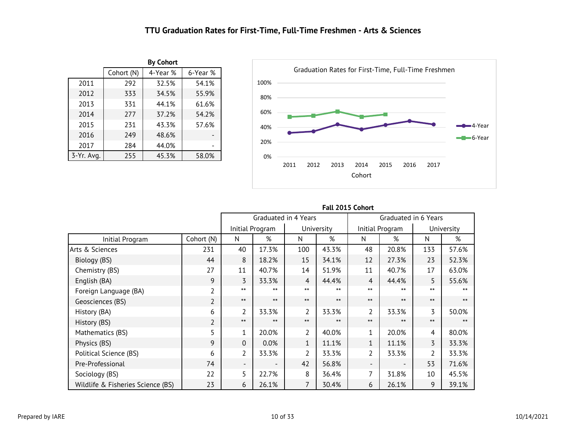### **TTU Graduation Rates for First-Time, Full-Time Freshmen - Arts & Sciences**

<span id="page-10-0"></span>

|            |            | <b>By Cohort</b> |          |
|------------|------------|------------------|----------|
|            | Cohort (N) | 4-Year %         | 6-Year % |
| 2011       | 292        | 32.5%            | 54.1%    |
| 2012       | 333        | 34.5%            | 55.9%    |
| 2013       | 331        | 44.1%            | 61.6%    |
| 2014       | 277        | 37.2%            | 54.2%    |
| 2015       | 231        | 43.3%            | 57.6%    |
| 2016       | 249        | 48.6%            |          |
| 2017       | 284        | 44.0%            |          |
| 3-Yr. Avg. | 255        | 45.3%            | 58.0%    |



|                                   |                |                          | Graduated in 4 Years     |                |            |                | Graduated in 6 Years |                |            |  |
|-----------------------------------|----------------|--------------------------|--------------------------|----------------|------------|----------------|----------------------|----------------|------------|--|
|                                   |                |                          | Initial Program          |                | University |                | Initial Program      |                | University |  |
| Initial Program                   | Cohort (N)     | N                        | %                        | N              | %          | N              | %                    | N              | %          |  |
| Arts & Sciences                   | 231            | 40                       | 17.3%                    | 100            | 43.3%      | 48             | 20.8%                | 133            | 57.6%      |  |
| Biology (BS)                      | 44             | 8                        | 18.2%                    | 15             | 34.1%      | 12             | 27.3%                | 23             | 52.3%      |  |
| Chemistry (BS)                    | 27             | 11                       | 40.7%                    | 14             | 51.9%      | 11             | 40.7%                | 17             | 63.0%      |  |
| English (BA)                      | 9              | 3                        | 33.3%                    | 4              | 44.4%      | 4              | 44.4%                | 5              | 55.6%      |  |
| Foreign Language (BA)             | $\overline{2}$ | $***$                    | $***$                    | $***$          | $***$      | $***$          | $***$                | $***$          |            |  |
| Geosciences (BS)                  | $\overline{2}$ | $***$                    | $***$                    | $***$          | $***$      | $***$          | $***$                | $***$          | $***$      |  |
| History (BA)                      | 6              | $\overline{2}$           | 33.3%                    | $\overline{2}$ | 33.3%      | $\overline{2}$ | 33.3%                | $\overline{3}$ | 50.0%      |  |
| History (BS)                      | $\overline{2}$ | $***$                    | $***$                    | $***$          | $***$      | $***$          | $***$                | $***$          | $***$      |  |
| Mathematics (BS)                  | 5              | $\mathbf{1}$             | 20.0%                    | 2              | 40.0%      | 1              | 20.0%                | 4              | 80.0%      |  |
| Physics (BS)                      | 9              | $\Omega$                 | 0.0%                     | $\mathbf{1}$   | 11.1%      | 1              | 11.1%                | 3              | 33.3%      |  |
| Political Science (BS)            | 6              | $\overline{2}$           | 33.3%                    | $\overline{2}$ | 33.3%      | $\overline{2}$ | 33.3%                | 2              | 33.3%      |  |
| Pre-Professional                  | 74             | $\overline{\phantom{a}}$ | $\overline{\phantom{a}}$ | 42             | 56.8%      |                |                      | 53             | 71.6%      |  |
| Sociology (BS)                    | 22             | 5                        | 22.7%                    | 8              | 36.4%      | 7              | 31.8%                | 10             | 45.5%      |  |
| Wildlife & Fisheries Science (BS) | 23             | 6                        | 26.1%                    | 7              | 30.4%      | 6              | 26.1%                | 9              | 39.1%      |  |

#### **Fall 2015 Cohort**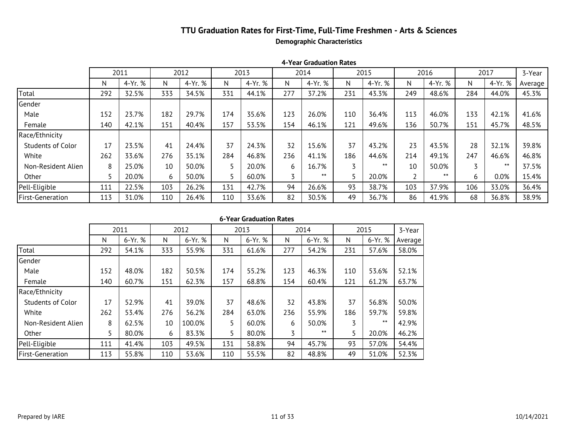### **TTU Graduation Rates for First-Time, Full-Time Freshmen - Arts & Sciences Demographic Characteristics**

|                          |     | 2011    |     | 2012    |     | 2013    |     | 2014    |     | 2015    |     | 2016    |     | 2017    | 3-Year  |
|--------------------------|-----|---------|-----|---------|-----|---------|-----|---------|-----|---------|-----|---------|-----|---------|---------|
|                          | N   | 4-Yr. % | N   | 4-Yr. % | N   | 4-Yr. % | N   | 4-Yr. % | N   | 4-Yr. % | N   | 4-Yr. % | N.  | 4-Yr. % | Average |
| Total                    | 292 | 32.5%   | 333 | 34.5%   | 331 | 44.1%   | 277 | 37.2%   | 231 | 43.3%   | 249 | 48.6%   | 284 | 44.0%   | 45.3%   |
| Gender                   |     |         |     |         |     |         |     |         |     |         |     |         |     |         |         |
| Male                     | 152 | 23.7%   | 182 | 29.7%   | 174 | 35.6%   | 123 | 26.0%   | 110 | 36.4%   | 113 | 46.0%   | 133 | 42.1%   | 41.6%   |
| Female                   | 140 | 42.1%   | 151 | 40.4%   | 157 | 53.5%   | 154 | 46.1%   | 121 | 49.6%   | 136 | 50.7%   | 151 | 45.7%   | 48.5%   |
| Race/Ethnicity           |     |         |     |         |     |         |     |         |     |         |     |         |     |         |         |
| <b>Students of Color</b> | 17  | 23.5%   | 41  | 24.4%   | 37  | 24.3%   | 32  | 15.6%   | 37  | 43.2%   | 23  | 43.5%   | 28  | 32.1%   | 39.8%   |
| White                    | 262 | 33.6%   | 276 | 35.1%   | 284 | 46.8%   | 236 | 41.1%   | 186 | 44.6%   | 214 | 49.1%   | 247 | 46.6%   | 46.8%   |
| Non-Resident Alien       | 8   | 25.0%   | 10  | 50.0%   | 5   | 20.0%   | 6   | 16.7%   |     | $***$   | 10  | 50.0%   |     | $***$   | 37.5%   |
| Other                    |     | 20.0%   | 6   | 50.0%   | 5   | 60.0%   |     | $***$   |     | 20.0%   |     | $***$   | 6   | $0.0\%$ | 15.4%   |
| Pell-Eligible            | 111 | 22.5%   | 103 | 26.2%   | 131 | 42.7%   | 94  | 26.6%   | 93  | 38.7%   | 103 | 37.9%   | 106 | 33.0%   | 36.4%   |
| <b>First-Generation</b>  | 113 | 31.0%   | 110 | 26.4%   | 110 | 33.6%   | 82  | 30.5%   | 49  | 36.7%   | 86  | 41.9%   | 68  | 36.8%   | 38.9%   |

#### **4-Year Graduation Rates**

|                          |     | 2011    |     | 2012    |     | 2013    |     | 2014    |     | 2015      | 3-Year  |
|--------------------------|-----|---------|-----|---------|-----|---------|-----|---------|-----|-----------|---------|
|                          | N   | 6-Yr. % | N   | 6-Yr. % | N   | 6-Yr. % | N   | 6-Yr. % | N   | $6-Yr.$ % | Average |
| Total                    | 292 | 54.1%   | 333 | 55.9%   | 331 | 61.6%   | 277 | 54.2%   | 231 | 57.6%     | 58.0%   |
| Gender                   |     |         |     |         |     |         |     |         |     |           |         |
| Male                     | 152 | 48.0%   | 182 | 50.5%   | 174 | 55.2%   | 123 | 46.3%   | 110 | 53.6%     | 52.1%   |
| Female                   | 140 | 60.7%   | 151 | 62.3%   | 157 | 68.8%   | 154 | 60.4%   | 121 | 61.2%     | 63.7%   |
| Race/Ethnicity           |     |         |     |         |     |         |     |         |     |           |         |
| <b>Students of Color</b> | 17  | 52.9%   | 41  | 39.0%   | 37  | 48.6%   | 32  | 43.8%   | 37  | 56.8%     | 50.0%   |
| White                    | 262 | 53.4%   | 276 | 56.2%   | 284 | 63.0%   | 236 | 55.9%   | 186 | 59.7%     | 59.8%   |
| Non-Resident Alien       | 8   | 62.5%   | 10  | 100.0%  | 5   | 60.0%   | 6   | 50.0%   | 3   | $***$     | 42.9%   |
| Other                    | 5   | 80.0%   | 6   | 83.3%   | 5.  | 80.0%   | 3   | $***$   | 5   | 20.0%     | 46.2%   |
| Pell-Eligible            | 111 | 41.4%   | 103 | 49.5%   | 131 | 58.8%   | 94  | 45.7%   | 93  | 57.0%     | 54.4%   |
| <b>First-Generation</b>  | 113 | 55.8%   | 110 | 53.6%   | 110 | 55.5%   | 82  | 48.8%   | 49  | 51.0%     | 52.3%   |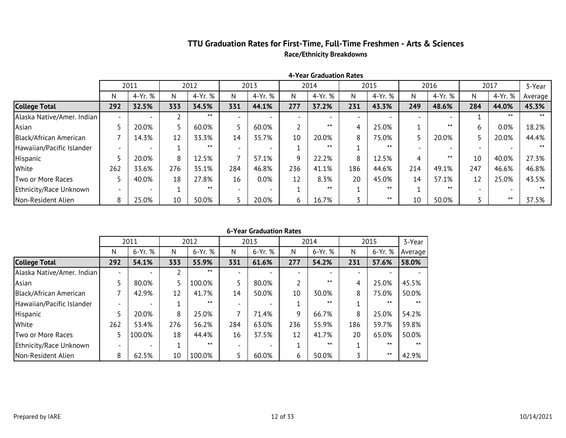### **TTU Graduation Rates for First-Time, Full-Time Freshmen - Arts & Sciences Race/Ethnicity Breakdowns**

|                            |     | 2011    |     | 2012    |     | 2013    |     | 2014                     |                          | 2015                     |     | 2016    |     | 2017    | 3-Year  |
|----------------------------|-----|---------|-----|---------|-----|---------|-----|--------------------------|--------------------------|--------------------------|-----|---------|-----|---------|---------|
|                            | Ν   | 4-Yr. % | N   | 4-Yr. % | N   | 4-Yr. % | N   | 4-Yr. %                  | N                        | 4-Yr. %                  | N   | 4-Yr. % | N   | 4-Yr. % | Average |
| <b>College Total</b>       | 292 | 32.5%   | 333 | 34.5%   | 331 | 44.1%   | 277 | 37.2%                    | 231                      | 43.3%                    | 249 | 48.6%   | 284 | 44.0%   | 45.3%   |
| Alaska Native/Amer. Indian |     |         |     | $***$   |     |         |     | $\overline{\phantom{0}}$ | $\overline{\phantom{0}}$ | $\overline{\phantom{0}}$ |     |         |     |         | $***$   |
| Asian                      |     | 20.0%   |     | 60.0%   |     | 60.0%   |     | $***$                    | 4                        | 25.0%                    |     | $***$   |     | $0.0\%$ | 18.2%   |
| Black/African American     |     | 14.3%   | 12  | 33.3%   | 14  | 35.7%   | 10  | 20.0%                    | 8                        | 75.0%                    |     | 20.0%   |     | 20.0%   | 44.4%   |
| Hawaiian/Pacific Islander  |     |         |     | $***$   |     |         |     | $***$                    |                          | $***$                    |     |         |     |         | $***$   |
| Hispanic                   |     | 20.0%   | 8   | 12.5%   |     | 57.1%   | q   | 22.2%                    | 8                        | 12.5%                    | 4   | $***$   | 10  | 40.0%   | 27.3%   |
| White                      | 262 | 33.6%   | 276 | 35.1%   | 284 | 46.8%   | 236 | 41.1%                    | 186                      | 44.6%                    | 214 | 49.1%   | 247 | 46.6%   | 46.8%   |
| Two or More Races          |     | 40.0%   | 18  | 27.8%   | 16  | 0.0%    | 12  | 8.3%                     | 20                       | 45.0%                    | 14  | 57.1%   | 12  | 25.0%   | 43.5%   |
| Ethnicity/Race Unknown     |     |         |     | $***$   |     |         |     | $***$                    |                          | $***$                    |     | $***$   |     |         | $***$   |
| Non-Resident Alien         | 8   | 25.0%   | 10  | 50.0%   |     | 20.0%   | h   | 16.7%                    |                          | $***$                    | 10  | 50.0%   |     | $***$   | 37.5%   |

**4-Year Graduation Rates**

|                            |     | 2011    |     | 2012    |     | 2013    |     | 2014    |     | 2015    | 3-Year  |
|----------------------------|-----|---------|-----|---------|-----|---------|-----|---------|-----|---------|---------|
|                            | N   | 6-Yr. % | N   | 6-Yr. % | N   | 6-Yr. % | N   | 6-Yr. % | N   | 6-Yr. % | Average |
| <b>College Total</b>       | 292 | 54.1%   | 333 | 55.9%   | 331 | 61.6%   | 277 | 54.2%   | 231 | 57.6%   | 58.0%   |
| Alaska Native/Amer. Indian |     |         |     | $***$   |     |         |     |         |     |         |         |
| Asian                      |     | 80.0%   |     | 100.0%  |     | 80.0%   |     | $***$   | 4   | 25.0%   | 45.5%   |
| Black/African American     |     | 42.9%   | 12  | 41.7%   | 14  | 50.0%   | 10  | 30.0%   | 8   | 75.0%   | 50.0%   |
| Hawaiian/Pacific Islander  |     |         |     | $***$   |     |         |     | $***$   |     | $***$   | $***$   |
| Hispanic                   |     | 20.0%   | 8   | 25.0%   |     | 71.4%   | 9   | 66.7%   | 8   | 25.0%   | 54.2%   |
| White                      | 262 | 53.4%   | 276 | 56.2%   | 284 | 63.0%   | 236 | 55.9%   | 186 | 59.7%   | 59.8%   |
| Two or More Races          | 5   | 100.0%  | 18  | 44.4%   | 16  | 37.5%   | 12  | 41.7%   | 20  | 65.0%   | 50.0%   |
| Ethnicity/Race Unknown     |     |         |     | $***$   |     |         |     | $***$   |     | $***$   | $***$   |
| Non-Resident Alien         | 8   | 62.5%   | 10  | 100.0%  |     | 60.0%   | 6   | 50.0%   |     | $***$   | 42.9%   |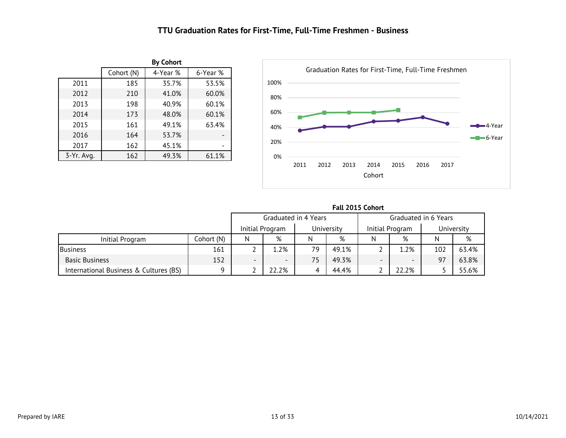### **TTU Graduation Rates for First-Time, Full-Time Freshmen - Business**

<span id="page-13-0"></span>

|              |            | <b>By Cohort</b> |          |
|--------------|------------|------------------|----------|
|              | Cohort (N) | 4-Year %         | 6-Year % |
| 2011         | 184        | 35.3%            | 53.3%    |
| 2012         | 210        | 41.0%            | 60.0%    |
| 2013         | 198        | 40.9%            | 60.1%    |
| 2014         | 173        | 48.0%            | 60.1%    |
| 2015         | 161        | 49.1%            | 63.4%    |
| 2016         | 164        | 53.7%            |          |
| 2017         | 162        | 45.1%            |          |
| $3-Yr.$ Avg. | 162        | 49.3%            | 61.1%    |



|                      | Fall 2015 Cohort |
|----------------------|------------------|
| Graduated in 4 Years | Graduate         |
|                      |                  |

|                                        |            | Graduated in 4 Years          |                          |    |                               |   | Graduated in 6 Years     |     |       |  |
|----------------------------------------|------------|-------------------------------|--------------------------|----|-------------------------------|---|--------------------------|-----|-------|--|
|                                        |            | University<br>Initial Program |                          |    | Initial Program<br>University |   |                          |     |       |  |
| Initial Program                        | Cohort (N) | N                             | %                        | N  | %                             | N | %                        |     | %     |  |
| <b>Business</b>                        | 161        |                               | 1.2%                     | 79 | 49.1%                         |   | .2%                      | 102 | 63.4% |  |
| <b>Basic Business</b>                  | 152        | $\overline{\phantom{0}}$      | $\overline{\phantom{0}}$ |    | 49.3%                         |   | $\overline{\phantom{0}}$ | 97  | 63.8% |  |
| International Business & Cultures (BS) | O          |                               | 22.2%                    |    | 44.4%                         |   | 22.2%                    |     | 55.6% |  |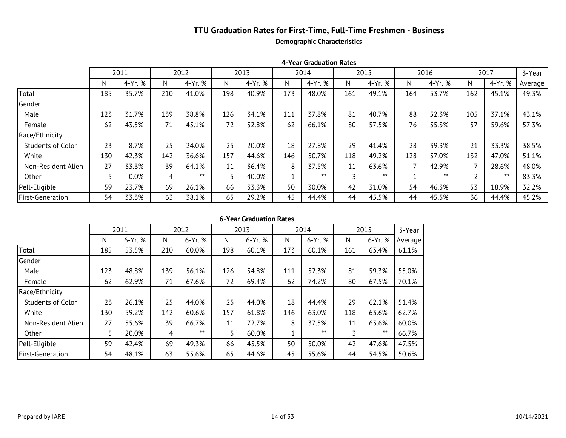### **TTU Graduation Rates for First-Time, Full-Time Freshmen - Business Demographic Characteristics**

|                          |     | 2011    |     | 2012    |     | 2013    |     | 2014    |     | 2015    |     | 2016    |     | 2017    | 3-Year  |
|--------------------------|-----|---------|-----|---------|-----|---------|-----|---------|-----|---------|-----|---------|-----|---------|---------|
|                          | N   | 4-Yr. % | N.  | 4-Yr. % | N   | 4-Yr. % | N   | 4-Yr. % | N   | 4-Yr. % | N   | 4-Yr. % | N.  | 4-Yr. % | Average |
| Total                    | 184 | 35.3%   | 210 | 41.0%   | 198 | 40.9%   | 173 | 48.0%   | 161 | 49.1%   | 164 | 53.7%   | 162 | 45.1%   | 49.3%   |
| Gender                   |     |         |     |         |     |         |     |         |     |         |     |         |     |         |         |
| Male                     | 122 | 31.1%   | 139 | 38.8%   | 126 | 34.1%   | 111 | 37.8%   | 81  | 40.7%   | 88  | 52.3%   | 105 | 37.1%   | 43.1%   |
| Female                   | 62  | 43.5%   | 71  | 45.1%   | 72  | 52.8%   | 62  | 66.1%   | 80  | 57.5%   | 76  | 55.3%   | 57  | 59.6%   | 57.3%   |
| Race/Ethnicity           |     |         |     |         |     |         |     |         |     |         |     |         |     |         |         |
| <b>Students of Color</b> | 23  | 8.7%    | 25  | 24.0%   | 25  | 20.0%   | 18  | 27.8%   | 29  | 41.4%   | 28  | 39.3%   | 21  | 33.3%   | 38.5%   |
| White                    | 129 | 41.9%   | 142 | 36.6%   | 157 | 44.6%   | 146 | 50.7%   | 118 | 49.2%   | 128 | 57.0%   | 132 | 47.0%   | 51.1%   |
| Non-Resident Alien       | 27  | 33.3%   | 39  | 64.1%   | 11  | 36.4%   | 8   | 37.5%   | 11  | 63.6%   |     | 42.9%   |     | 28.6%   | 48.0%   |
| Other                    |     | 0.0%    | 4   | $***$   | 5   | 40.0%   |     | $***$   |     | $***$   |     | $***$   |     | $***$   | 83.3%   |
| Pell-Eligible            | 59  | 23.7%   | 69  | 26.1%   | 66  | 33.3%   | 50  | 30.0%   | 42  | 31.0%   | 54  | 46.3%   | 53  | 18.9%   | 32.2%   |
| First-Generation         | 54  | 33.3%   | 63  | 38.1%   | 65  | 29.2%   | 45  | 44.4%   | 44  | 45.5%   | 44  | 45.5%   | 36  | 44.4%   | 45.2%   |

**4-Year Graduation Rates**

|  | 6-Year Graduation Rates |  |
|--|-------------------------|--|
|--|-------------------------|--|

|                          |     | 2011    |     | 2012    |     | 2013    |     | 2014    |     | 2015    | 3-Year  |
|--------------------------|-----|---------|-----|---------|-----|---------|-----|---------|-----|---------|---------|
|                          | N   | 6-Yr. % | N   | 6-Yr. % | N   | 6-Yr. % | N   | 6-Yr. % | N   | 6-Yr. % | Average |
| Total                    | 184 | 53.3%   | 210 | 60.0%   | 198 | 60.1%   | 173 | 60.1%   | 161 | 63.4%   | 61.1%   |
| Gender                   |     |         |     |         |     |         |     |         |     |         |         |
| Male                     | 122 | 48.4%   | 139 | 56.1%   | 126 | 54.8%   | 111 | 52.3%   | 81  | 59.3%   | 55.0%   |
| Female                   | 62  | 62.9%   | 71  | 67.6%   | 72  | 69.4%   | 62  | 74.2%   | 80  | 67.5%   | 70.1%   |
| Race/Ethnicity           |     |         |     |         |     |         |     |         |     |         |         |
| <b>Students of Color</b> | 23  | 26.1%   | 25  | 44.0%   | 25  | 44.0%   | 18  | 44.4%   | 29  | 62.1%   | 51.4%   |
| White                    | 129 | 58.9%   | 142 | 60.6%   | 157 | 61.8%   | 146 | 63.0%   | 118 | 63.6%   | 62.7%   |
| Non-Resident Alien       | 27  | 55.6%   | 39  | 66.7%   | 11  | 72.7%   | 8   | 37.5%   | 11  | 63.6%   | 60.0%   |
| Other                    |     | 20.0%   | 4   | $***$   | 5   | 60.0%   |     | $***$   | 3   | $***$   | 66.7%   |
| Pell-Eligible            | 59  | 42.4%   | 69  | 49.3%   | 66  | 45.5%   | 50  | 50.0%   | 42  | 47.6%   | 47.5%   |
| <b>First-Generation</b>  | 54  | 48.1%   | 63  | 55.6%   | 65  | 44.6%   | 45  | 55.6%   | 44  | 54.5%   | 50.6%   |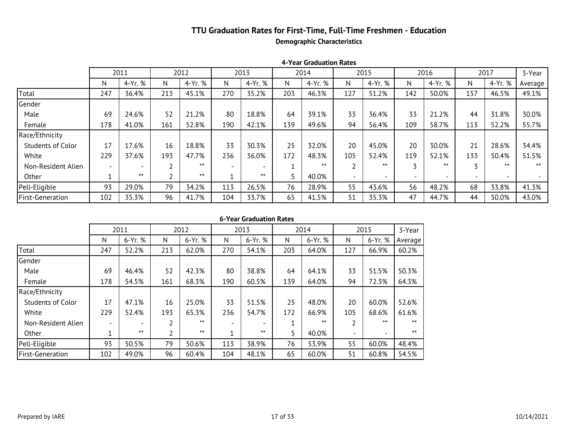### **TTU Graduation Rates for First-Time, Full-Time Freshmen - Education Demographic Characteristics**

|                          |     | 2011    |     | 2012    |                 | 2013         |     | 2014    |                          | 2015    |                          | 2016    |     | 2017                     | 3-Year  |
|--------------------------|-----|---------|-----|---------|-----------------|--------------|-----|---------|--------------------------|---------|--------------------------|---------|-----|--------------------------|---------|
|                          | N   | 4-Yr. % | N   | 4-Yr. % | N               | 4-Yr. %      | N   | 4-Yr. % | N                        | 4-Yr. % | N                        | 4-Yr. % | N   | 4-Yr. %                  | Average |
| Total                    | 247 | 36.4%   | 213 | 45.1%   | 27 <sup>2</sup> | 35.24        | 203 | 46.3%   | 127                      | 51.2%   | 142                      | 50.0%   | 157 | 46.5%                    | 49.1%   |
| Gender                   |     |         |     |         |                 |              |     |         |                          |         |                          |         |     |                          |         |
| Male                     | 69  | 24.6%   | 52  | 21.2%   | 8 <sup>8</sup>  | 18.2         | 64  | 39.1%   | 33                       | 36.4%   | 33                       | 21.2%   | 44  | 31.8%                    | 30.0%   |
| Female                   | 178 | 41.0%   | 161 | 52.8%   | 190             | 42.1%        | 139 | 49.6%   | 94                       | 56.4%   | 109                      | 58.7%   | 113 | 52.2%                    | 55.7%   |
| Race/Ethnicity           |     |         |     |         |                 |              |     |         |                          |         |                          |         |     |                          |         |
| <b>Students of Color</b> | 17  | 17.6%   | 16  | 18.8%   | 3 <b>x</b>      | $\mathbb{R}$ | 25  | 32.0%   | 20                       | 45.0%   | 20                       | 30.0%   | 21  | 28.6%                    | 34.4%   |
| White                    | 229 | 37.6%   | 193 | 47.7%   | 236             | 36.0%        | 172 | 48.3%   | 105                      | 52.4%   | 119                      | 52.1%   | 133 | 50.4%                    | 51.5%   |
| Non-Resident Alien       |     |         |     | $***$   |                 |              |     | $***$   |                          | $***$   | $\overline{ }$           | $***$   |     | $***$                    | $***$   |
| Other                    |     | $***$   |     | $***$   |                 | $***$        |     | 40.0%   | $\overline{\phantom{0}}$ |         | $\overline{\phantom{0}}$ |         |     | $\overline{\phantom{0}}$ |         |
| Pell-Eligible            | 93  | 29.0%   | 79  | 34.2%   | 11 <sup>2</sup> | 26.          | 76  | 28.9%   | 55                       | 43.6%   | 56                       | 48.2%   | 68  | 33.8%                    | 41.3%   |
| First-Generation         | 102 | 35.3%   | 96  | 41.7%   | 10 <sup>2</sup> | 33.          | 65  | 41.5%   | 51                       | 35.3%   | 47                       | 44.7%   | 44  | 50.0%                    | 43.0%   |

|  | 6-Year Graduation Rates |  |
|--|-------------------------|--|
|--|-------------------------|--|

|                         |                          | 2011                     |     | 2012    |                 | 2013         |     | 2014    |                          | 2015    | 3-Year         |
|-------------------------|--------------------------|--------------------------|-----|---------|-----------------|--------------|-----|---------|--------------------------|---------|----------------|
|                         | N                        | 6-Yr. %                  | N   | 6-Yr. % | N               | 6-Yr. %      | N   | 6-Yr. % | N                        | 6-Yr. % | Average        |
| Total                   | 247                      | 52.2%                    | 213 | 62.0%   | 27 <sup>8</sup> | 5×           | 203 | 64.0%   | 127                      | 66.9%   | 60.2%          |
| Gender                  |                          |                          |     |         |                 |              |     |         |                          |         |                |
| Male                    | 69                       | 46.4%                    | 52  | 42.3%   | 8 <sup>8</sup>  | 38. <b>A</b> | 64  | 64.1%   | 33                       | 51.5%   | 50.3%          |
| Female                  | 178                      | 54.5%                    | 161 | 68.3%   | 190             | 60.5%        | 139 | 64.0%   | 94                       | 72.3%   | 64.3%          |
| Race/Ethnicity          |                          |                          |     |         |                 |              |     |         |                          |         |                |
| Students of Color       | 17                       | 47.1%                    | 16  | 25.0%   | 3 <sup>2</sup>  | 5×           | 25  | 48.0%   | 20                       | 60.0%   | 5 <sub>K</sub> |
| White                   | 229                      | 52.4%                    | 193 | 65.3%   | 236             | 54.7%        | 172 | 66.9%   | 105                      | 68.6%   | 61.6%          |
| Non-Resident Alien      | $\overline{\phantom{0}}$ | $\overline{\phantom{a}}$ | 2   | $***$   |                 |              |     | $***$   | 2                        | $***$   | $***$          |
| Other                   |                          | $***$                    | ำ   | $***$   |                 | $***$        |     | 40.0%   | $\overline{\phantom{0}}$ |         | $***$          |
| Pell-Eligible           | 93                       | 50.5%                    | 79  | 50.6%   | 11 <sup>2</sup> | 38. <b>2</b> | 76  | 53.9%   | 55                       | 60.0%   | 48.            |
| <b>First-Generation</b> | 102                      | 49.0%                    | 96  | 60.4%   | 10 <sup>2</sup> | 4 <b>x</b>   | 65  | 60.0%   | 51                       | 60.8%   | 54.图           |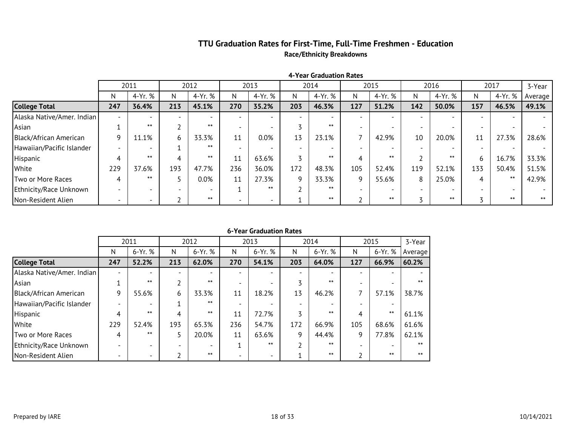### **TTU Graduation Rates for First-Time, Full-Time Freshmen - Education Race/Ethnicity Breakdowns**

|                            |                          | 2011                     |     | 2012    |     | 2013                     |     | 2014                     |     | 2015    |     | 2016    |     | 2017    | 3-Year  |
|----------------------------|--------------------------|--------------------------|-----|---------|-----|--------------------------|-----|--------------------------|-----|---------|-----|---------|-----|---------|---------|
|                            | N                        | 4-Yr. %                  | N   | 4-Yr. % | N   | 4-Yr. %                  | N   | 4-Yr. %                  | N   | 4-Yr. % | N.  | 4-Yr. % | N.  | 4-Yr. % | Average |
| <b>College Total</b>       | 247                      | 36.4%                    | 213 | 45.1%   | 271 | 35.1%                    | 203 | 46.3%                    | 127 | 51.2%   | 142 | 50.0%   | 157 | 46.5%   | 49.1%   |
| Alaska Native/Amer. Indian | $\overline{\phantom{0}}$ | $\overline{\phantom{0}}$ |     |         |     |                          |     | $\overline{\phantom{0}}$ |     |         |     |         |     |         |         |
| Asian                      |                          | $***$                    |     | $***$   |     |                          |     | $***$                    |     |         |     |         |     |         |         |
| Black/African American     | q                        | 11.1%                    | h   | 33.3%   | 12  | 0.0%                     | 13  | 23.1%                    |     | 42.9%   | 10  | 20.0%   | 11  | 27.3%   | 28.6%   |
| Hawaiian/Pacific Islander  |                          |                          |     | $***$   |     |                          |     | $\overline{\phantom{0}}$ |     |         |     |         |     |         |         |
| Hispanic                   | 4                        | $***$                    |     | $***$   | 11  | 63.6%                    |     | $***$                    | 4   | $***$   |     | $***$   | h.  | 16.7%   | 33.3%   |
| White                      | 229                      | 37.6%                    | 193 | 47.7%   | 236 | 36.0%                    | 172 | 48.3%                    | 105 | 52.4%   | 119 | 52.1%   | 133 | 50.4%   | 51.5%   |
| Two or More Races          | 4                        | $***$                    |     | $0.0\%$ | 11  | 27.3%                    |     | 33.3%                    | 9   | 55.6%   | 8   | 25.0%   | 4   | $***$   | 42.9%   |
| Ethnicity/Race Unknown     |                          |                          |     |         |     | $***$                    |     | $***$                    |     |         |     |         |     |         |         |
| Non-Resident Alien         | $\overline{\phantom{0}}$ | $\overline{\phantom{0}}$ |     | $***$   |     | $\overline{\phantom{0}}$ |     | $***$                    |     | $***$   |     | $***$   |     | $***$   | $***$   |

#### **4-Year Graduation Rates**

|                            |                          | 2011    |                          | 2012    |     | 2013    |                          | 2014    |     | 2015    | 3-Year  |
|----------------------------|--------------------------|---------|--------------------------|---------|-----|---------|--------------------------|---------|-----|---------|---------|
|                            | N                        | 6-Yr. % | Ν                        | 6-Yr. % | N   | 6-Yr. % | N                        | 6-Yr. % | N   | 6-Yr. % | Average |
| <b>College Total</b>       | 247                      | 52.2%   | 213                      | 62.0%   | 271 | 53.9%   | 203                      | 64.0%   | 127 | 66.9%   | 60.2%   |
| Alaska Native/Amer. Indian |                          |         | $\overline{\phantom{0}}$ |         |     |         |                          |         |     |         |         |
| Asian                      |                          | $***$   |                          | $***$   |     |         |                          | $***$   |     |         | $***$   |
| Black/African American     | 9                        | 55.6%   | 6                        | 33.3%   | 12  | 16.7%   | 13                       | 46.2%   |     | 57.1%   | 37.5%   |
| Hawaiian/Pacific Islander  |                          |         |                          | $***$   |     |         | $\overline{\phantom{0}}$ |         |     |         |         |
| Hispanic                   | 4                        | $***$   | 4                        | $***$   | 11  | 72.7%   | 3                        | $***$   | 4   | $***$   | 61.1%   |
| White                      | 229                      | 52.4%   | 193                      | 65.3%   | 236 | 54.7%   | 172                      | 66.9%   | 105 | 68.6%   | 61.6%   |
| Two or More Races          | 4                        | $***$   | 5                        | 20.0%   | 11  | 63.6%   | 9                        | 44.4%   | 9   | 77.8%   | 62.1%   |
| Ethnicity/Race Unknown     |                          |         | -                        |         |     | $***$   |                          | $***$   |     |         | $***$   |
| Non-Resident Alien         | $\overline{\phantom{0}}$ |         |                          | $***$   |     |         |                          | $***$   |     | $***$   | $***$   |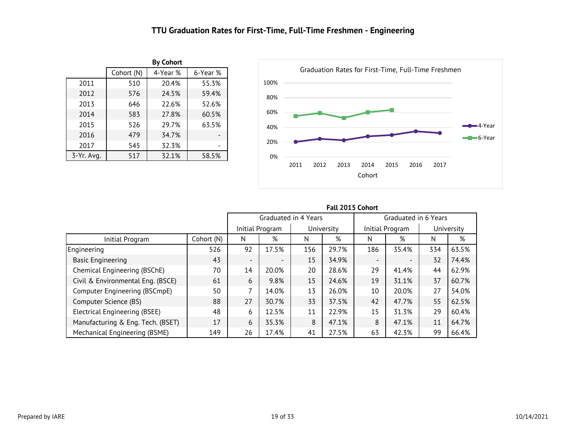### **TTU Graduation Rates for First-Time, Full-Time Freshmen - Engineering**

<span id="page-19-0"></span>

|            |            | <b>By Cohort</b> |          |
|------------|------------|------------------|----------|
|            | Cohort (N) | 4-Year %         | 6-Year % |
| 2011       | 507        | 20.1%            | 55.0%    |
| 2012       | 576        | 24.5%            | 59.4%    |
| 2013       | 647        | 22.6%            | 52.7%    |
| 2014       | 583        | 27.8%            | 60.5%    |
| 2015       | 526        | 29.7%            | 63.5%    |
| 2016       | 479        | 34.7%            |          |
| 2017       | 545        | 32.3%            |          |
| 3-Yr. Avg. | 517        | 32.1%            | 58.5%    |



|                                   |            | ישוע כביש ביותר          |                          |                      |            |                          |                 |            |       |  |  |  |  |  |
|-----------------------------------|------------|--------------------------|--------------------------|----------------------|------------|--------------------------|-----------------|------------|-------|--|--|--|--|--|
|                                   |            |                          |                          | Graduated in 4 Years |            | Graduated in 6 Years     |                 |            |       |  |  |  |  |  |
|                                   |            |                          | Initial Program          |                      | University |                          | Initial Program | University |       |  |  |  |  |  |
| Initial Program                   | Cohort (N) | N                        | %                        | N                    | %          | N                        | %               | N          | %     |  |  |  |  |  |
| Engineering                       | 526        | 92                       | 17.5%                    | 156                  | 29.7%      | 186                      | 35.4%           | 334        | 63.5% |  |  |  |  |  |
| <b>Basic Engineering</b>          | 43         | $\overline{\phantom{a}}$ | $\overline{\phantom{0}}$ | 15                   | 34.9%      | $\overline{\phantom{0}}$ |                 | 32         | 74.4% |  |  |  |  |  |
| Chemical Engineering (BSChE)      | 70         | 14                       | 20.0%                    | 20                   | 28.6%      | 29                       | 41.4%           | 44         | 62.9% |  |  |  |  |  |
| Civil & Environmental Eng. (BSCE) | 61         | 6                        | 9.8%                     | 15                   | 24.6%      | 19                       | 31.1%           | 37         | 60.7% |  |  |  |  |  |
| Computer Engineering (BSCmpE)     | 50         | 7                        | 14.0%                    | 13                   | 26.0%      | 10                       | 20.0%           | 27         | 54.0% |  |  |  |  |  |
| Computer Science (BS)             | 88         | 27                       | 30.7%                    | 33                   | 37.5%      | 42                       | 47.7%           | 55         | 62.5% |  |  |  |  |  |
| Electrical Engineering (BSEE)     | 48         | 6                        | 12.5%                    | 11                   | 22.9%      | 15                       | 31.3%           | 29         | 60.4% |  |  |  |  |  |
| Manufacturing & Eng. Tech. (BSET) | 17         | 6                        | 35.3%                    | 8                    | 47.1%      | 8                        | 47.1%           | 11         | 64.7% |  |  |  |  |  |
| Mechanical Engineering (BSME)     | 149        | 26                       | 17.4%                    | 41                   | 27.5%      | 63                       | 42.3%           | 99         | 66.4% |  |  |  |  |  |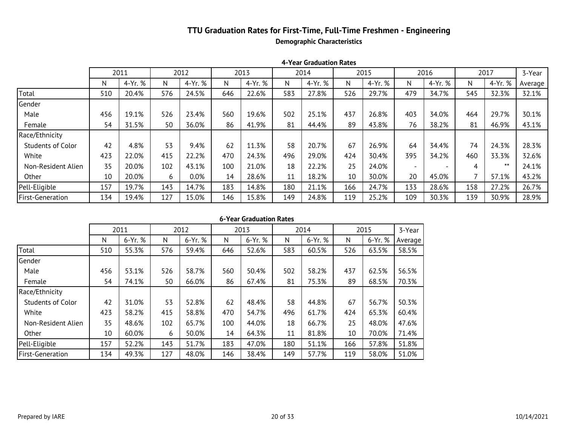### **TTU Graduation Rates for First-Time, Full-Time Freshmen - Engineering Demographic Characteristics**

|                          |     | 2011    |     | 2012    |     | 2013    |     | 2014    |     | 2015    |                          | 2016    |     | 2017    | 3-Year  |
|--------------------------|-----|---------|-----|---------|-----|---------|-----|---------|-----|---------|--------------------------|---------|-----|---------|---------|
|                          | N   | 4-Yr. % | N.  | 4-Yr. % | N   | 4-Yr. % | N   | 4-Yr. % | N   | 4-Yr. % | N                        | 4-Yr. % | N   | 4-Yr. % | Average |
| Total                    | 507 | 20.1%   | 576 | 24.5%   | 647 | 22.6%   | 583 | 27.8%   | 526 | 29.7%   | 479                      | 34.7%   | 545 | 32.3%   | 32.1%   |
| Gender                   |     |         |     |         |     |         |     |         |     |         |                          |         |     |         |         |
| Male                     | 453 | 18.8%   | 526 | 23.4%   | 561 | 19.6%   | 502 | 25.1%   | 437 | 26.8%   | 403                      | 34.0%   | 464 | 29.7%   | 30.1%   |
| Female                   | 54  | 31.5%   | 50  | 36.0%   | 86  | 41.9%   | 81  | 44.4%   | 89  | 43.8%   | 76                       | 38.2%   | 81  | 46.9%   | 43.1%   |
| Race/Ethnicity           |     |         |     |         |     |         |     |         |     |         |                          |         |     |         |         |
| <b>Students of Color</b> | 42  | 4.8%    | 53  | 9.4%    | 62  | 11.3%   | 58  | 20.7%   | 67  | 26.9%   | 64                       | 34.4%   | 74  | 24.3%   | 28.3%   |
| White                    | 420 | 21.7%   | 415 | 22.2%   | 471 | 24.2%   | 496 | 29.0%   | 424 | 30.4%   | 395                      | 34.2%   | 460 | 33.3%   | 32.6%   |
| Non-Resident Alien       | 35  | 20.0%   | 102 | 43.1%   | 100 | 21.0%   | 18  | 22.2%   | 25  | 24.0%   | $\overline{\phantom{0}}$ |         | 4   | $***$   | 24.1%   |
| Other                    | 10  | 20.0%   | 6   | $0.0\%$ | 14  | 28.6%   | 11  | 18.2%   | 10  | 30.0%   | 20                       | 45.0%   |     | 57.1%   | 43.2%   |
| Pell-Eligible            | 155 | 18.7%   | 143 | 14.7%   | 184 | 14.7%   | 180 | 21.1%   | 166 | 24.7%   | 133                      | 28.6%   | 158 | 27.2%   | 26.7%   |
| <b>First-Generation</b>  | 132 | 18.2%   | 127 | 15.0%   | 146 | 15.8%   | 149 | 24.8%   | 119 | 25.2%   | 109                      | 30.3%   | 139 | 30.9%   | 28.9%   |

**4-Year Graduation Rates**

|  | 6-Year Graduation Rates |  |
|--|-------------------------|--|
|--|-------------------------|--|

|                          |     | 2011    |     | 2012    |     | 2013    |     | 2014    |     | 2015    | 3-Year  |
|--------------------------|-----|---------|-----|---------|-----|---------|-----|---------|-----|---------|---------|
|                          | N   | 6-Yr. % | N   | 6-Yr. % | N   | 6-Yr. % | N   | 6-Yr. % | N   | 6-Yr. % | Average |
| Total                    | 507 | 55.0%   | 576 | 59.4%   | 647 | 52.7%   | 583 | 60.5%   | 526 | 63.5%   | 58.5%   |
| Gender                   |     |         |     |         |     |         |     |         |     |         |         |
| Male                     | 453 | 52.8%   | 526 | 58.7%   | 561 | 50.4%   | 502 | 58.2%   | 437 | 62.5%   | 56.5%   |
| Female                   | 54  | 74.1%   | 50  | 66.0%   | 86  | 67.4%   | 81  | 75.3%   | 89  | 68.5%   | 70.3%   |
| Race/Ethnicity           |     |         |     |         |     |         |     |         |     |         |         |
| <b>Students of Color</b> | 42  | 31.0%   | 53  | 52.8%   | 62  | 48.4%   | 58  | 44.8%   | 67  | 56.7%   | 50.3%   |
| White                    | 420 | 57.9%   | 415 | 58.8%   | 471 | 54.8%   | 496 | 61.7%   | 424 | 65.3%   | 60.5%   |
| Non-Resident Alien       | 35  | 48.6%   | 102 | 65.7%   | 100 | 44.0%   | 18  | 66.7%   | 25  | 48.0%   | 47.6%   |
| Other                    | 10  | 60.0%   | 6   | 50.0%   | 14  | 64.3%   | 11  | 81.8%   | 10  | 70.0%   | 71.4%   |
| Pell-Eligible            | 155 | 51.6%   | 143 | 51.7%   | 184 | 47.3%   | 180 | 51.1%   | 166 | 57.8%   | 51.9%   |
| <b>First-Generation</b>  | 132 | 48.5%   | 127 | 48.0%   | 146 | 38.4%   | 149 | 57.7%   | 119 | 58.0%   | 51.0%   |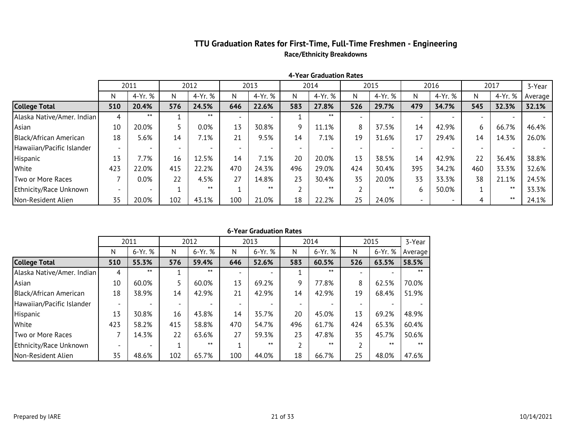### **TTU Graduation Rates for First-Time, Full-Time Freshmen - Engineering Race/Ethnicity Breakdowns**

|                            |     | 2011                     |     | 2012    |     | 2013    |     | 2014                     |     | 2015    |     | 2016    |     | 2017    | 3-Year  |
|----------------------------|-----|--------------------------|-----|---------|-----|---------|-----|--------------------------|-----|---------|-----|---------|-----|---------|---------|
|                            | N   | 4-Yr. %                  | N   | 4-Yr. % | N   | 4-Yr. % | N   | 4-Yr. %                  | N   | 4-Yr. % | N.  | 4-Yr. % | N   | 4-Yr. % | Average |
| <b>College Total</b>       | 507 | 20.1%                    | 576 | 24.5%   | 647 | 22.6%   | 583 | 27.8%                    | 526 | 29.7%   | 479 | 34.7%   | 545 | 32.3%   | 32.1%   |
| Alaska Native/Amer. Indian |     | $***$                    |     | ⋇⋇      |     |         |     | $***$                    |     |         |     |         |     |         |         |
| Asian                      | 10  | 20.0%                    |     | $0.0\%$ | 13  | 30.8%   |     | 11.1%                    | 8   | 37.5%   | 14  | 42.9%   | 6   | 66.7%   | 46.4%   |
| Black/African American     | 18  | 5.6%                     | 14  | 7.1%    | 21  | 9.5%    | 14  | 7.1%                     | 19  | 31.6%   | 17  | 29.4%   | 14  | 14.3%   | 26.0%   |
| Hawaiian/Pacific Islander  |     | $\overline{\phantom{0}}$ |     |         |     |         |     | $\overline{\phantom{a}}$ |     |         |     |         |     |         |         |
| Hispanic                   | 13  | 7.7%                     | 16  | 12.5%   | 14  | 7.1%    | 20  | 20.0%                    | 13  | 38.5%   | 14  | 42.9%   | 22  | 36.4%   | 38.8%   |
| White                      | 420 | 21.7%                    | 415 | 22.2%   | 471 | 24.2%   | 496 | 29.0%                    | 424 | 30.4%   | 395 | 34.2%   | 460 | 33.3%   | 32.6%   |
| Two or More Races          |     | 0.0%                     | 22  | 4.5%    | 27  | 14.8%   | 23  | 30.4%                    | 35  | 20.0%   | 33  | 33.3%   | 38  | 21.1%   | 24.5%   |
| Ethnicity/Race Unknown     |     |                          |     | $***$   |     | $***$   |     | $***$                    |     | $***$   | b   | 50.0%   |     | $***$   | 33.3%   |
| Non-Resident Alien         | 35  | 20.0%                    | 102 | 43.1%   | 100 | 21.0%   | 18  | 22.2%                    | 25  | 24.0%   |     |         |     | $***$   | 24.1%   |

**4-Year Graduation Rates**

|                            |     | 2011    |     | 2012    |     | 2013    |     | 2014    |     | 2015    | 3-Year  |
|----------------------------|-----|---------|-----|---------|-----|---------|-----|---------|-----|---------|---------|
|                            | N   | 6-Yr. % | N   | 6-Yr. % | N   | 6-Yr. % | N   | 6-Yr. % | N   | 6-Yr. % | Average |
| <b>College Total</b>       | 507 | 55.0%   | 576 | 59.4%   | 647 | 52.7%   | 583 | 60.5%   | 526 | 63.5%   | 58.5%   |
| Alaska Native/Amer. Indian | 4   | $***$   |     | $***$   |     |         |     | $***$   |     |         | $***$   |
| Asian                      | 10  | 60.0%   |     | 60.0%   | 13  | 69.2%   | 9   | 77.8%   | 8   | 62.5%   | 70.0%   |
| Black/African American     | 18  | 38.9%   | 14  | 42.9%   | 21  | 42.9%   | 14  | 42.9%   | 19  | 68.4%   | 51.9%   |
| Hawaiian/Pacific Islander  |     |         |     |         |     |         |     |         |     |         |         |
| Hispanic                   | 13  | 30.8%   | 16  | 43.8%   | 14  | 35.7%   | 20  | 45.0%   | 13  | 69.2%   | 48.9%   |
| White                      | 420 | 57.9%   | 415 | 58.8%   | 471 | 54.8%   | 496 | 61.7%   | 424 | 65.3%   | 60.5%   |
| Two or More Races          |     | 14.3%   | 22  | 63.6%   | 27  | 59.3%   | 23  | 47.8%   | 35  | 45.7%   | 50.6%   |
| Ethnicity/Race Unknown     |     |         |     | $***$   |     | $***$   |     | $***$   |     | $***$   | $***$   |
| Non-Resident Alien         | 35  | 48.6%   | 102 | 65.7%   | 100 | 44.0%   | 18  | 66.7%   | 25  | 48.0%   | 47.6%   |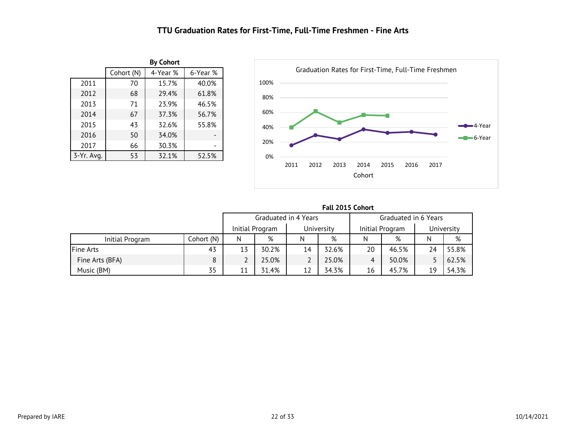### **TTU Graduation Rates for First-Time, Full-Time Freshmen - Fine Arts**

<span id="page-22-0"></span>

|            |            | <b>By Cohort</b> |          |
|------------|------------|------------------|----------|
|            | Cohort (N) | 4-Year %         | 6-Year % |
| 2011       | 70         | 15.7%            | 40.0%    |
| 2012       | 68         | 29.4%            | 61.8%    |
| 2013       | 71         | 23.9%            | 46.5%    |
| 2014       | 67         | 37.3%            | 56.7%    |
| 2015       | 43         | 32.6%            | 55.8%    |
| 2016       | 50         | 34.0%            |          |
| 2017       | 66         | 30.3%            |          |
| 3-Yr. Avg. | 53         | 32.1%            | 52.5%    |



|                  |            |    |                      |    | Fall 2015 Cohort |    |                 |                      |            |  |
|------------------|------------|----|----------------------|----|------------------|----|-----------------|----------------------|------------|--|
|                  |            |    | Graduated in 4 Years |    |                  |    |                 | Graduated in 6 Years |            |  |
|                  |            |    | Initial Program      |    | University       |    | Initial Program |                      | University |  |
| Initial Program  | Cohort (N) | N  | %                    | N  | %                | N  | %               | N                    | %          |  |
| <b>Fine Arts</b> | 43         | 13 | 30.2%                | 14 | 32.6%            | 20 | 46.5%           | 24                   | 55.8%      |  |
| Fine Arts (BFA)  | 8          |    | 25.0%                |    | 25.0%            | 4  | 50.0%           |                      | 62.5%      |  |
| Music (BM)       | 35         | 11 | 31.4%                | 12 | 34.3%            | 16 | 45.7%           | 19                   | 54.3%      |  |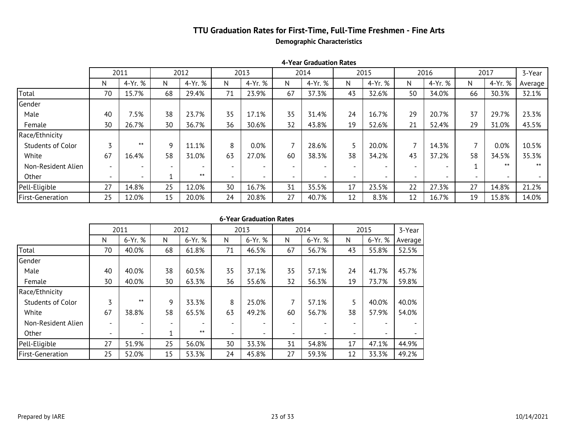### **TTU Graduation Rates for First-Time, Full-Time Freshmen - Fine Arts Demographic Characteristics**

|                          |                          | 2011    |    | 2012                     |                          | 2013    |    | 2014    |    | 2015    |                          | 2016                     |    | 2017    | 3-Year  |
|--------------------------|--------------------------|---------|----|--------------------------|--------------------------|---------|----|---------|----|---------|--------------------------|--------------------------|----|---------|---------|
|                          | N                        | 4-Yr. % | N  | 4-Yr. %                  | N                        | 4-Yr. % | N  | 4-Yr. % | N  | 4-Yr. % | N                        | 4-Yr. %                  | N  | 4-Yr. % | Average |
| Total                    | 70                       | 15.7%   | 68 | 29.4%                    | 71                       | 23.9%   | 67 | 37.3%   | 43 | 32.6%   | 50                       | 34.0%                    | 66 | 30.3%   | 32.1%   |
| Gender                   |                          |         |    |                          |                          |         |    |         |    |         |                          |                          |    |         |         |
| Male                     | 40                       | 7.5%    | 38 | 23.7%                    | 35                       | 17.1%   | 35 | 31.4%   | 24 | 16.7%   | 29                       | 20.7%                    | 37 | 29.7%   | 23.3%   |
| Female                   | 30                       | 26.7%   | 30 | 36.7%                    | 36                       | 30.6%   | 32 | 43.8%   | 19 | 52.6%   | 21                       | 52.4%                    | 29 | 31.0%   | 43.5%   |
| Race/Ethnicity           |                          |         |    |                          |                          |         |    |         |    |         |                          |                          |    |         |         |
| <b>Students of Color</b> |                          | $***$   | 9  | 11.1%                    | 8                        | 0.0%    |    | 28.6%   |    | 20.0%   | ⇁                        | 14.3%                    |    | 0.0%    | 10.5%   |
| White                    | 67                       | 16.4%   | 58 | 31.0%                    | 63                       | 27.0%   | 60 | 38.3%   | 38 | 34.2%   | 43                       | 37.2%                    | 58 | 34.5%   | 35.3%   |
| Non-Resident Alien       | $\overline{\phantom{0}}$ |         |    | $\overline{\phantom{a}}$ | $\overline{\phantom{0}}$ |         |    |         |    |         | $\overline{\phantom{a}}$ |                          |    | $***$   | $***$   |
| Other                    | $\overline{\phantom{a}}$ |         |    | $***$                    | $\overline{\phantom{a}}$ |         |    |         |    |         | $\overline{\phantom{a}}$ | $\overline{\phantom{0}}$ |    |         |         |
| Pell-Eligible            | 27                       | 14.8%   | 25 | 12.0%                    | 30                       | 16.7%   | 31 | 35.5%   | 17 | 23.5%   | 22                       | 27.3%                    | 27 | 14.8%   | 21.2%   |
| <b>First-Generation</b>  | 25                       | 12.0%   | 15 | 20.0%                    | 24                       | 20.8%   | 27 | 40.7%   | 12 | 8.3%    | 12                       | 16.7%                    | 19 | 15.8%   | 14.0%   |

#### **4-Year Graduation Rates**

|                          |                          | 2011                     |    | 2012    |    | 2013    |                          | 2014                     |                          | 2015                     | 3-Year  |
|--------------------------|--------------------------|--------------------------|----|---------|----|---------|--------------------------|--------------------------|--------------------------|--------------------------|---------|
|                          | N                        | 6-Yr. %                  | N  | 6-Yr. % | N  | 6-Yr. % | N                        | $6-Yr.$ %                | N                        | $6-Yr.$ %                | Average |
| Total                    | 70                       | 40.0%                    | 68 | 61.8%   | 71 | 46.5%   | 67                       | 56.7%                    | 43                       | 55.8%                    | 52.5%   |
| Gender                   |                          |                          |    |         |    |         |                          |                          |                          |                          |         |
| Male                     | 40                       | 40.0%                    | 38 | 60.5%   | 35 | 37.1%   | 35                       | 57.1%                    | 24                       | 41.7%                    | 45.7%   |
| Female                   | 30                       | 40.0%                    | 30 | 63.3%   | 36 | 55.6%   | 32                       | 56.3%                    | 19                       | 73.7%                    | 59.8%   |
| Race/Ethnicity           |                          |                          |    |         |    |         |                          |                          |                          |                          |         |
| <b>Students of Color</b> | 3                        | $***$                    | 9  | 33.3%   | 8  | 25.0%   | 7                        | 57.1%                    | 5                        | 40.0%                    | 40.0%   |
| White                    | 67                       | 38.8%                    | 58 | 65.5%   | 63 | 49.2%   | 60                       | 56.7%                    | 38                       | 57.9%                    | 54.0%   |
| Non-Resident Alien       | $\overline{\phantom{0}}$ |                          |    |         |    |         |                          |                          | $\overline{\phantom{a}}$ | $\overline{\phantom{0}}$ |         |
| Other                    | $\overline{\phantom{a}}$ | $\overline{\phantom{0}}$ |    | $***$   |    |         | $\overline{\phantom{0}}$ | $\overline{\phantom{0}}$ | $\overline{\phantom{0}}$ | $\overline{\phantom{0}}$ |         |
| Pell-Eligible            | 27                       | 51.9%                    | 25 | 56.0%   | 30 | 33.3%   | 31                       | 54.8%                    | 17                       | 47.1%                    | 44.9%   |
| <b>First-Generation</b>  | 25                       | 52.0%                    | 15 | 53.3%   | 24 | 45.8%   | 27                       | 59.3%                    | 12                       | 33.3%                    | 49.2%   |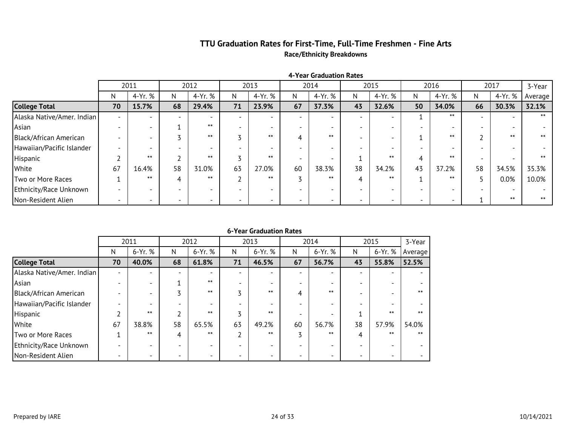### **TTU Graduation Rates for First-Time, Full-Time Freshmen - Fine Arts Race/Ethnicity Breakdowns**

|                            |    | 2011                     |    | 2012    |                          | 2013                     |    | 2014                     |    | 2015    |    | 2016    |    | 2017    | 3-Year  |
|----------------------------|----|--------------------------|----|---------|--------------------------|--------------------------|----|--------------------------|----|---------|----|---------|----|---------|---------|
|                            | N  | 4-Yr. %                  | N  | 4-Yr. % | N                        | 4-Yr. %                  |    | 4-Yr. %                  | N  | 4-Yr. % | N. | 4-Yr. % | N  | 4-Yr. % | Average |
| <b>College Total</b>       | 70 | 15.7%                    | 68 | 29.4%   | 71                       | 23.9%                    | 67 | 37.3%                    | 43 | 32.6%   | 50 | 34.0%   | 66 | 30.3%   | 32.1%   |
| Alaska Native/Amer. Indian |    | $\overline{\phantom{0}}$ |    |         |                          | $\sim$                   |    | $\overline{a}$           |    |         |    | $***$   |    |         | $***$   |
| Asian                      |    | $\overline{\phantom{0}}$ |    | $***$   |                          |                          |    | $\overline{\phantom{0}}$ |    |         |    |         |    |         |         |
| Black/African American     |    |                          |    | $***$   |                          | $***$                    |    | $***$                    |    |         |    | $***$   |    | $***$   | $***$   |
| Hawaiian/Pacific Islander  |    |                          |    |         |                          |                          |    |                          |    |         |    |         |    |         |         |
| Hispanic                   |    | $***$                    |    | $***$   |                          | $***$                    |    |                          |    | $***$   |    | $***$   |    |         | $***$   |
| White                      | 67 | 16.4%                    | 58 | 31.0%   | 63                       | 27.0%                    | 60 | 38.3%                    | 38 | 34.2%   | 43 | 37.2%   | 58 | 34.5%   | 35.3%   |
| Two or More Races          |    | $***$                    |    | $***$   |                          | $***$                    |    | $***$                    |    | $***$   |    | $***$   |    | 0.0%    | 10.0%   |
| Ethnicity/Race Unknown     |    |                          |    |         |                          |                          |    |                          |    |         |    |         |    |         |         |
| Non-Resident Alien         |    |                          |    |         | $\overline{\phantom{0}}$ | $\overline{\phantom{0}}$ |    | $\overline{\phantom{0}}$ |    |         |    |         |    | $***$   | $***$   |

#### **4-Year Graduation Rates**

|                            |                          | 2011    |                          | 2012    |    | 2013    |    | 2014    |    | 2015    | 3-Year  |
|----------------------------|--------------------------|---------|--------------------------|---------|----|---------|----|---------|----|---------|---------|
|                            | N                        | 6-Yr. % | N                        | 6-Yr. % | N  | 6-Yr. % | N  | 6-Yr. % | N  | 6-Yr. % | Average |
| <b>College Total</b>       | 70                       | 40.0%   | 68                       | 61.8%   | 71 | 46.5%   | 67 | 56.7%   | 43 | 55.8%   | 52.5%   |
| Alaska Native/Amer. Indian |                          |         |                          |         |    |         |    |         |    |         |         |
| Asian                      |                          |         |                          | $***$   |    |         |    |         |    |         |         |
| Black/African American     |                          |         |                          | $***$   |    | $***$   | 4  | $***$   |    |         | $***$   |
| Hawaiian/Pacific Islander  |                          |         |                          |         |    |         |    |         |    |         |         |
| Hispanic                   |                          | $***$   |                          | $***$   |    | $***$   |    |         |    | $***$   | $***$   |
| White                      | 67                       | 38.8%   | 58                       | 65.5%   | 63 | 49.2%   | 60 | 56.7%   | 38 | 57.9%   | 54.0%   |
| Two or More Races          |                          | $***$   | 4                        | $***$   |    | $***$   | 3  | $***$   | 4  | $***$   | $***$   |
| Ethnicity/Race Unknown     |                          |         |                          |         |    |         |    |         |    |         |         |
| Non-Resident Alien         | $\overline{\phantom{0}}$ |         | $\overline{\phantom{0}}$ |         |    |         |    |         |    |         |         |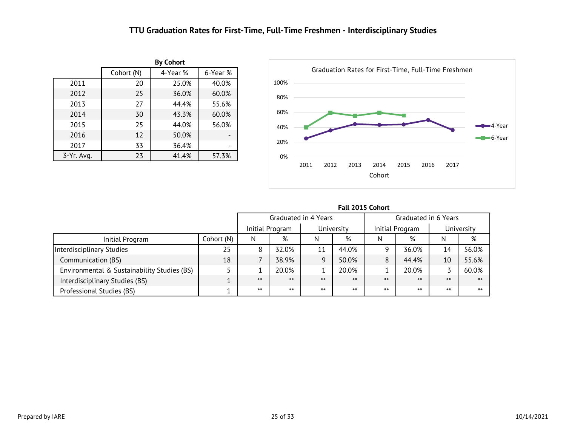### **TTU Graduation Rates for First-Time, Full-Time Freshmen - Interdisciplinary Studies**

<span id="page-25-0"></span>

|              |            | <b>By Cohort</b> |          |
|--------------|------------|------------------|----------|
|              | Cohort (N) | 4-Year %         | 6-Year % |
| 2011         | 20         | 25.0%            | 40.0%    |
| 2012         | 25         | 36.0%            | 60.0%    |
| 2013         | 77         | 44.4%            | 55.6%    |
| 2014         | 30         | 43.3%            | 60.0%    |
| 2015         | 25         | 44.0%            | 56.0%    |
| 2016         | 12         | 50.0%            |          |
| 2017         | 33         | 36.4%            |          |
| $3-Yr.$ Avg. | 23         | 41.4%            | 57.3%    |



|                                             |            |       | Graduated in 4 Years |       |            | Graduated in 6 Years |                 |       |            |
|---------------------------------------------|------------|-------|----------------------|-------|------------|----------------------|-----------------|-------|------------|
|                                             |            |       | Initial Program      |       | University |                      | Initial Program |       | University |
| Initial Program                             | Cohort (N) | N     | %                    | N     | %          | N                    | %               | N     | %          |
| Interdisciplinary Studies                   | 25         | 8     | 32.0%                | 11    | 44.0%      |                      | 36.0%           | 14    | 56.0%      |
| Communication (BS)                          | 18         |       | 38.9%                | 9     | 50.0%      |                      | 44.4%           | 10    | 55.6%      |
| Environmental & Sustainability Studies (BS) |            |       | 20.0%                |       | 20.0%      |                      | 20.0%           |       | 60.0%      |
| Interdisciplinary Studies (BS)              |            | $***$ | $***$                | $***$ | $***$      | $***$                | $***$           | $***$ | $***$      |
| Professional Studies (BS)                   |            | $***$ | $***$                | $***$ | $***$      | $***$                | $***$           | $***$ | $***$      |

**Fall 2015 Cohort**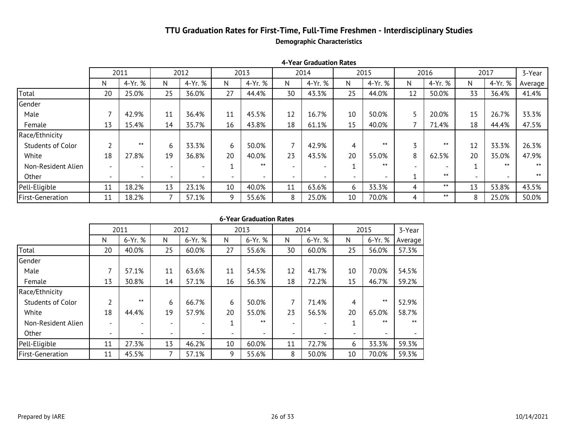### **TTU Graduation Rates for First-Time, Full-Time Freshmen - Interdisciplinary Studies Demographic Characteristics**

|                          |                          | 2011                     |    | 2012                     |                          | 2013    |    | 2014                     |                          | 2015    |                          | 2016    |    | 2017                     | 3-Year  |
|--------------------------|--------------------------|--------------------------|----|--------------------------|--------------------------|---------|----|--------------------------|--------------------------|---------|--------------------------|---------|----|--------------------------|---------|
|                          | N                        | 4-Yr. %                  | N. | 4-Yr. %                  | N                        | 4-Yr. % | N  | 4-Yr. %                  | N                        | 4-Yr. % | N                        | 4-Yr. % | N  | 4-Yr. %                  | Average |
| Total                    | 20                       | 25.0%                    | 25 | 36.0%                    | 27                       | 44.4%   | 30 | 43.3%                    | 25                       | 44.0%   | 12                       | 50.0%   | 33 | 36.4%                    | 41.4%   |
| Gender                   |                          |                          |    |                          |                          |         |    |                          |                          |         |                          |         |    |                          |         |
| Male                     |                          | 42.9%                    | 11 | 36.4%                    | 11                       | 45.5%   | 12 | 16.7%                    | 10                       | 50.0%   |                          | 20.0%   | 15 | 26.7%                    | 33.3%   |
| Female                   | 13                       | 15.4%                    | 14 | 35.7%                    | 16                       | 43.8%   | 18 | 61.1%                    | 15                       | 40.0%   |                          | 71.4%   | 18 | 44.4%                    | 47.5%   |
| Race/Ethnicity           |                          |                          |    |                          |                          |         |    |                          |                          |         |                          |         |    |                          |         |
| <b>Students of Color</b> |                          | $***$                    | 6  | 33.3%                    | 6                        | 50.0%   |    | 42.9%                    | 4                        | $***$   |                          | $***$   | 12 | 33.3%                    | 26.3%   |
| White                    | 18                       | 27.8%                    | 19 | 36.8%                    | 20                       | 40.0%   | 23 | 43.5%                    | 20                       | 55.0%   | 8                        | 62.5%   | 20 | 35.0%                    | 47.9%   |
| Non-Resident Alien       |                          |                          |    | $\overline{\phantom{a}}$ | 4                        | $***$   |    |                          |                          | $***$   | $\overline{\phantom{0}}$ |         |    | $***$                    | $***$   |
| Other                    | $\overline{\phantom{0}}$ | $\overline{\phantom{a}}$ |    | $\overline{\phantom{a}}$ | $\overline{\phantom{0}}$ |         |    | $\overline{\phantom{a}}$ | $\overline{\phantom{0}}$ |         |                          | $***$   |    | $\overline{\phantom{a}}$ | $***$   |
| Pell-Eligible            | 11                       | 18.2%                    | 13 | 23.1%                    | 10                       | 40.0%   | 11 | 63.6%                    | 6                        | 33.3%   | 4                        | $***$   | 13 | 53.8%                    | 43.5%   |
| First-Generation         | 11                       | 18.2%                    |    | 57.1%                    | 9                        | 55.6%   | 8  | 25.0%                    | 10                       | 70.0%   | 4                        | $***$   | 8  | 25.0%                    | 50.0%   |

#### **4-Year Graduation Rates**

|                          |                          | 2011                     |                          | 2012                     |                          | 2013    |                          | 2014                     |                          | 2015                     | 3-Year  |
|--------------------------|--------------------------|--------------------------|--------------------------|--------------------------|--------------------------|---------|--------------------------|--------------------------|--------------------------|--------------------------|---------|
|                          | N                        | 6-Yr. %                  | N                        | 6-Yr. %                  | N                        | 6-Yr. % | N                        | $6-Yr.$ %                | N                        | $6-Yr.$ %                | Average |
| Total                    | 20                       | 40.0%                    | 25                       | 60.0%                    | 27                       | 55.6%   | 30                       | 60.0%                    | 25                       | 56.0%                    | 57.3%   |
| Gender                   |                          |                          |                          |                          |                          |         |                          |                          |                          |                          |         |
| Male                     | $\overline{\phantom{a}}$ | 57.1%                    | 11                       | 63.6%                    | 11                       | 54.5%   | 12                       | 41.7%                    | 10                       | 70.0%                    | 54.5%   |
| Female                   | 13                       | 30.8%                    | 14                       | 57.1%                    | 16                       | 56.3%   | 18                       | 72.2%                    | 15                       | 46.7%                    | 59.2%   |
| Race/Ethnicity           |                          |                          |                          |                          |                          |         |                          |                          |                          |                          |         |
| <b>Students of Color</b> | ำ                        | $***$                    | 6                        | 66.7%                    | 6                        | 50.0%   | 7                        | 71.4%                    | 4                        | $***$                    | 52.9%   |
| White                    | 18                       | 44.4%                    | 19                       | 57.9%                    | 20                       | 55.0%   | 23                       | 56.5%                    | 20                       | 65.0%                    | 58.7%   |
| Non-Resident Alien       | $\overline{\phantom{0}}$ |                          |                          | $\overline{\phantom{0}}$ |                          | $***$   |                          |                          | 1                        | $***$                    | $**$    |
| Other                    | $\overline{\phantom{a}}$ | $\overline{\phantom{0}}$ | $\overline{\phantom{0}}$ | $\overline{\phantom{0}}$ | $\overline{\phantom{0}}$ |         | $\overline{\phantom{0}}$ | $\overline{\phantom{0}}$ | $\overline{\phantom{a}}$ | $\overline{\phantom{0}}$ |         |
| Pell-Eligible            | 11                       | 27.3%                    | 13                       | 46.2%                    | 10                       | 60.0%   | 11                       | 72.7%                    | 6                        | 33.3%                    | 59.3%   |
| <b>First-Generation</b>  | 11                       | 45.5%                    | 7                        | 57.1%                    | 9                        | 55.6%   | 8                        | 50.0%                    | 10                       | 70.0%                    | 59.3%   |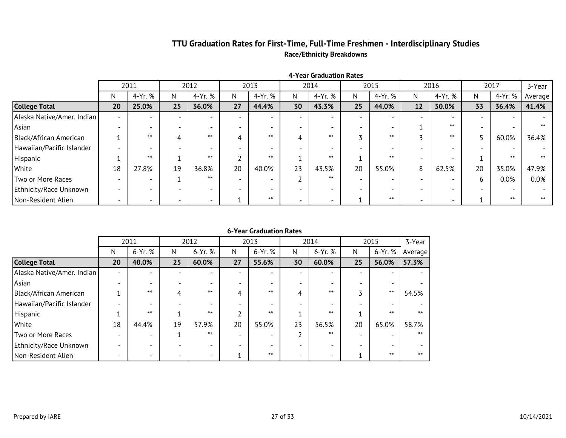### **TTU Graduation Rates for First-Time, Full-Time Freshmen - Interdisciplinary Studies Race/Ethnicity Breakdowns**

|                            |                          | 2011                     |    | 2012                     |    | 2013    |                          | 2014                     |    | 2015    |    | 2016    |    | 2017    | 3-Year  |
|----------------------------|--------------------------|--------------------------|----|--------------------------|----|---------|--------------------------|--------------------------|----|---------|----|---------|----|---------|---------|
|                            | N                        | 4-Yr. %                  | N  | 4-Yr. %                  | N  | 4-Yr. % | N                        | 4-Yr. %                  | N  | 4-Yr. % | N. | 4-Yr. % | N  | 4-Yr. % | Average |
| <b>College Total</b>       | 20                       | 25.0%                    | 25 | 36.0%                    | 27 | 44.4%   | 30                       | 43.3%                    | 25 | 44.0%   | 12 | 50.0%   | 33 | 36.4%   | 41.4%   |
| Alaska Native/Amer. Indian |                          | $\overline{\phantom{0}}$ |    | $\overline{\phantom{0}}$ |    |         |                          | $\overline{\phantom{a}}$ |    |         |    |         |    |         |         |
| Asian                      |                          |                          |    |                          |    |         |                          |                          |    |         |    | $***$   |    |         | $***$   |
| Black/African American     |                          | $***$                    |    | $***$                    |    | $***$   |                          | $***$                    |    | $***$   |    | $***$   |    | 60.0%   | 36.4%   |
| Hawaiian/Pacific Islander  |                          |                          |    |                          |    |         |                          |                          |    |         |    |         |    |         |         |
| Hispanic                   |                          | $***$                    |    | $***$                    |    | $***$   |                          | $***$                    |    | $***$   |    |         |    | $***$   | $***$   |
| White                      | 18                       | 27.8%                    | 19 | 36.8%                    | 20 | 40.0%   | 23                       | 43.5%                    | 20 | 55.0%   | 8  | 62.5%   | 20 | 35.0%   | 47.9%   |
| Two or More Races          |                          |                          |    | $***$                    |    |         |                          | $***$                    |    |         |    |         | n  | 0.0%    | 0.0%    |
| Ethnicity/Race Unknown     |                          |                          |    |                          |    |         |                          |                          |    |         |    |         |    |         |         |
| Non-Resident Alien         | $\overline{\phantom{0}}$ | -                        |    | $\overline{\phantom{0}}$ |    | $***$   | $\overline{\phantom{0}}$ | $\overline{\phantom{0}}$ |    | $***$   |    |         |    | $***$   | $***$   |

**4-Year Graduation Rates**

|                            |                          | 2011                     |                          | 2012    |    | 2013    |                          | 2014                     |    | 2015    | 3-Year  |
|----------------------------|--------------------------|--------------------------|--------------------------|---------|----|---------|--------------------------|--------------------------|----|---------|---------|
|                            | N                        | 6-Yr. %                  | N                        | 6-Yr. % | N  | 6-Yr. % | N                        | 6-Yr. %                  | N  | 6-Yr. % | Average |
| <b>College Total</b>       | 20                       | 40.0%                    | 25                       | 60.0%   | 27 | 55.6%   | 30                       | 60.0%                    | 25 | 56.0%   | 57.3%   |
| Alaska Native/Amer. Indian | $\overline{\phantom{0}}$ |                          | $\overline{\phantom{0}}$ |         |    |         | $\overline{\phantom{0}}$ |                          |    |         |         |
| Asian                      | $\overline{\phantom{0}}$ |                          | $\overline{\phantom{0}}$ |         |    |         |                          |                          |    |         |         |
| Black/African American     |                          | $***$                    | 4                        | $***$   |    | $***$   | 4                        | $***$                    |    | $***$   | 54.5%   |
| Hawaiian/Pacific Islander  |                          |                          | $\overline{\phantom{0}}$ |         |    |         |                          |                          |    |         |         |
| Hispanic                   |                          | $***$                    |                          | $***$   |    | $***$   |                          | $***$                    |    | $***$   | $***$   |
| White                      | 18                       | 44.4%                    | 19                       | 57.9%   | 20 | 55.0%   | 23                       | 56.5%                    | 20 | 65.0%   | 58.7%   |
| Two or More Races          |                          |                          | 1                        | $***$   |    |         | ำ                        | $***$                    |    |         | $***$   |
| Ethnicity/Race Unknown     |                          |                          | $\overline{\phantom{a}}$ |         |    |         |                          |                          |    |         |         |
| Non-Resident Alien         | $\overline{\phantom{0}}$ | $\overline{\phantom{0}}$ | $\overline{\phantom{0}}$ | -       |    | $***$   | $\overline{\phantom{a}}$ | $\overline{\phantom{0}}$ |    | $***$   | $***$   |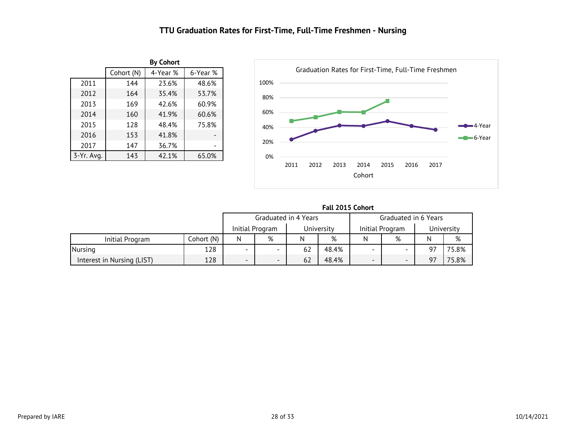### **TTU Graduation Rates for First-Time, Full-Time Freshmen - Nursing**

<span id="page-28-0"></span>

|            |            | <b>By Cohort</b> |          |
|------------|------------|------------------|----------|
|            | Cohort (N) | 4-Year %         | 6-Year % |
| 2011       | 143        | 23.8%            | 49.0%    |
| 2012       | 164        | 35.4%            | 53.7%    |
| 2013       | 169        | 42.6%            | 60.9%    |
| 2014       | 160        | 41.9%            | 60.6%    |
| 2015       | 128        | 48.4%            | 75.8%    |
| 2016       | 153        | 41.8%            |          |
| 2017       | 147        | 36.7%            |          |
| 3-Yr. Avg. | 143        | 42.1%            | 65.0%    |



|  |  | <b>Fall 2015 Cohort</b> |
|--|--|-------------------------|
|--|--|-------------------------|

|                            |            |                               | Graduated in 4 Years |    |       | Graduated in 6 Years     |                 |    |            |
|----------------------------|------------|-------------------------------|----------------------|----|-------|--------------------------|-----------------|----|------------|
|                            |            | Initial Program<br>University |                      |    |       |                          | Initial Program |    | University |
| Initial Program            | Cohort (N) | %<br>N                        |                      |    | %     |                          | %               |    | %          |
| Nursing                    | 128        |                               |                      | 62 | 48.4% | $\overline{\phantom{0}}$ |                 | Q7 | 75.8%      |
| Interest in Nursing (LIST) | 128        | -                             |                      | 62 | 48.4% | $\overline{\phantom{0}}$ | -               | 97 | 75.8%      |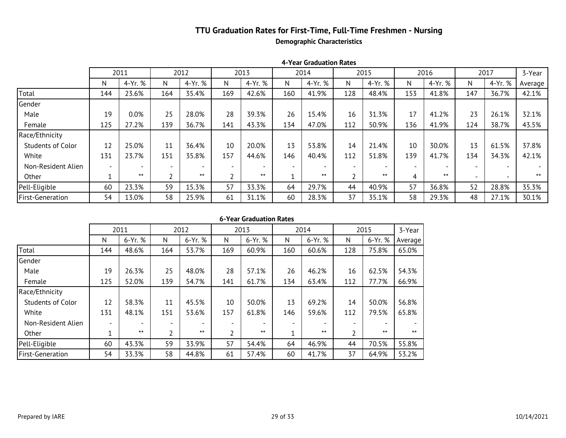### **TTU Graduation Rates for First-Time, Full-Time Freshmen - Nursing Demographic Characteristics**

|                    |     | 2011    |     | 2012                     |                          | 2013    |     | 2014    |     | 2015    |                 | 2016    |     | 2017    | 3-Year  |
|--------------------|-----|---------|-----|--------------------------|--------------------------|---------|-----|---------|-----|---------|-----------------|---------|-----|---------|---------|
|                    | N   | 4-Yr. % | N   | 4-Yr. %                  | N                        | 4-Yr. % | N   | 4-Yr. % | N   | 4-Yr. % | N               | 4-Yr. % | N   | 4-Yr. % | Average |
| Total              | 143 | 23.8%   | 164 | 35.4%                    | 169                      | 42.6%   | 160 | 41.9%   | 128 | 48.4%   | 153             | 41.8%   | 147 | 36.7%   | 42.1%   |
| Gender             |     |         |     |                          |                          |         |     |         |     |         |                 |         |     |         |         |
| Male               | 19  | 0.0%    | 25  | 28.0%                    | 28                       | 39.3%   | 26  | 15.4%   | 16  | 31.3%   | 17              | 41.2%   | 23  | 26.1%   | 32.1%   |
| Female             | 124 | 27.4%   | 139 | 36.7%                    | 141                      | 43.3%   | 134 | 47.0%   | 112 | 50.9%   | 136             | 41.9%   | 124 | 38.7%   | 43.5%   |
| Race/Ethnicity     |     |         |     |                          |                          |         |     |         |     |         |                 |         |     |         |         |
| Students of Color  | 11  | 27.3%   | 11  | 36.4%                    | 10                       | 20.0%   | 13  | 53.8%   | 14  | 21.4%   | 10              | 30.0%   | 13  | 61.5%   | 37.8%   |
| White              | 131 | 23.7%   | 151 | 35.8%                    | 157                      | 44.6%   | 146 | 40.4%   | 112 | 51.8%   | 139             | 41.7%   | 134 | 34.3%   | 42.1%   |
| Non-Resident Alien |     |         |     | $\overline{\phantom{0}}$ | $\overline{\phantom{0}}$ |         |     |         |     |         | $\qquad \qquad$ |         |     |         |         |
| Other              |     | $***$   |     | $***$                    |                          | $***$   |     | $***$   |     | $***$   | 4               | $***$   |     |         | $***$   |
| Pell-Eligible      | 60  | 23.3%   | 59  | 15.3%                    | 57                       | 33.3%   | 64  | 29.7%   | 44  | 40.9%   | 57              | 36.8%   | 52  | 28.8%   | 35.3%   |
| First-Generation   | 54  | 13.0%   | 58  | 25.9%                    | 61                       | 31.1%   | 60  | 28.3%   | 37  | 35.1%   | 58              | 29.3%   | 48  | 27.1%   | 30.1%   |

#### **4-Year Graduation Rates**

|                          |     | 2011    |     | 2012                     |     | 2013    |     | 2014    |                          | 2015    | 3-Year  |
|--------------------------|-----|---------|-----|--------------------------|-----|---------|-----|---------|--------------------------|---------|---------|
|                          | N   | 6-Yr. % | N   | 6-Yr. %                  | N   | 6-Yr. % | N   | 6-Yr. % | N                        | 6-Yr. % | Average |
| Total                    | 143 | 49.0%   | 164 | 53.7%                    | 169 | 60.9%   | 160 | 60.6%   | 128                      | 75.8%   | 65.0%   |
| Gender                   |     |         |     |                          |     |         |     |         |                          |         |         |
| Male                     | 19  | 26.3%   | 25  | 48.0%                    | 28  | 57.1%   | 26  | 46.2%   | 16                       | 62.5%   | 54.3%   |
| Female                   | 124 | 52.4%   | 139 | 54.7%                    | 141 | 61.7%   | 134 | 63.4%   | 112                      | 77.7%   | 66.9%   |
| Race/Ethnicity           |     |         |     |                          |     |         |     |         |                          |         |         |
| <b>Students of Color</b> | 11  | 63.6%   | 11  | 45.5%                    | 10  | 50.0%   | 13  | 69.2%   | 14                       | 50.0%   | 56.8%   |
| White                    | 131 | 48.1%   | 151 | 53.6%                    | 157 | 61.8%   | 146 | 59.6%   | 112                      | 79.5%   | 65.8%   |
| Non-Resident Alien       |     |         |     | $\overline{\phantom{0}}$ |     |         |     |         | $\overline{\phantom{a}}$ |         |         |
| Other                    |     | $***$   | 2   | $***$                    |     | $***$   |     | $***$   | 2                        | $***$   | $***$   |
| Pell-Eligible            | 60  | 43.3%   | 59  | 33.9%                    | 57  | 54.4%   | 64  | 46.9%   | 44                       | 70.5%   | 55.8%   |
| <b>First-Generation</b>  | 54  | 33.3%   | 58  | 44.8%                    | 61  | 57.4%   | 60  | 41.7%   | 37                       | 64.9%   | 53.2%   |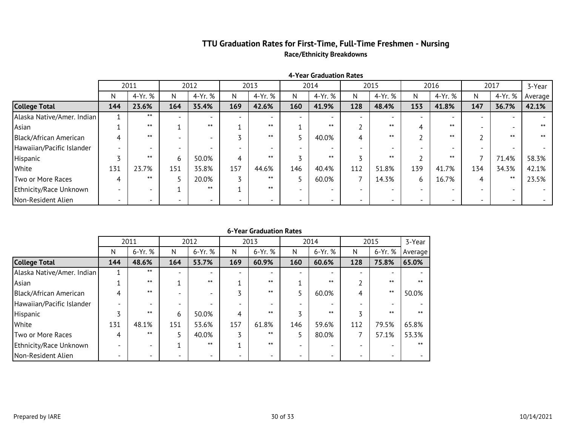### **TTU Graduation Rates for First-Time, Full-Time Freshmen - Nursing Race/Ethnicity Breakdowns**

|                            |                          | 2011                     |     | 2012    |                          | 2013                     |     | 2014                     |                          | 2015                     |     | 2016    |     | 2017                     | 3-Year  |
|----------------------------|--------------------------|--------------------------|-----|---------|--------------------------|--------------------------|-----|--------------------------|--------------------------|--------------------------|-----|---------|-----|--------------------------|---------|
|                            | N                        | 4-Yr. %                  | N   | 4-Yr. % | N                        | 4-Yr. %                  | N   | 4-Yr. %                  | N                        | 4-Yr. %                  | N.  | 4-Yr. % | N   | 4-Yr. %                  | Average |
| <b>College Total</b>       | 143                      | 23.8%                    | 164 | 35.4%   | 169                      | 42.6%                    | 160 | 41.9%                    | 128                      | 48.4%                    | 153 | 41.8%   | 147 | 36.7%                    | 42.1%   |
| Alaska Native/Amer. Indian |                          | $***$                    |     |         |                          |                          |     | $\overline{\phantom{0}}$ |                          |                          |     |         |     |                          |         |
| Asian                      |                          | $***$                    |     | $***$   |                          | $***$                    |     | $***$                    |                          | $***$                    |     | $***$   |     | $\overline{\phantom{0}}$ | $***$   |
| Black/African American     |                          | $***$                    |     |         |                          | $***$                    |     | 40.0%                    | 4                        | $***$                    |     | $***$   |     | $***$                    | $***$   |
| Hawaiian/Pacific Islander  |                          |                          |     |         |                          |                          |     | $\overline{\phantom{0}}$ | $\overline{\phantom{0}}$ |                          |     |         |     |                          |         |
| Hispanic                   |                          | $***$                    |     | 50.0%   | 4                        | $***$                    |     | $***$                    |                          | $***$                    |     | $***$   |     | 71.4%                    | 58.3%   |
| White                      | 131                      | 23.7%                    | 151 | 35.8%   | 157                      | 44.6%                    | 146 | 40.4%                    | 112                      | 51.8%                    | 139 | 41.7%   | 134 | 34.3%                    | 42.1%   |
| Two or More Races          | 4                        | $***$                    |     | 20.0%   |                          | $***$                    |     | 60.0%                    | 7                        | 14.3%                    | 6   | 16.7%   | 4   | $***$                    | 23.5%   |
| Ethnicity/Race Unknown     |                          |                          |     | $***$   |                          | $***$                    |     |                          |                          |                          |     |         |     |                          |         |
| Non-Resident Alien         | $\overline{\phantom{0}}$ | $\overline{\phantom{0}}$ |     |         | $\overline{\phantom{0}}$ | $\overline{\phantom{0}}$ |     | $\overline{\phantom{0}}$ | $\overline{\phantom{0}}$ | $\overline{\phantom{0}}$ |     |         |     | $\overline{\phantom{0}}$ |         |

#### **4-Year Graduation Rates**

|                            |     | 2011    |                          | 2012    |     | 2013    |     | 2014    |     | 2015    | 3-Year  |
|----------------------------|-----|---------|--------------------------|---------|-----|---------|-----|---------|-----|---------|---------|
|                            | N   | 6-Yr. % | N                        | 6-Yr. % | N   | 6-Yr. % | N   | 6-Yr. % | N   | 6-Yr. % | Average |
| <b>College Total</b>       | 143 | 49.0%   | 164                      | 53.7%   | 169 | 60.9%   | 160 | 60.6%   | 128 | 75.8%   | 65.0%   |
| Alaska Native/Amer. Indian |     | $***$   | $\overline{\phantom{0}}$ |         |     |         |     |         |     |         |         |
| Asian                      |     | $***$   |                          | $***$   |     | $***$   |     | $***$   |     | $***$   | $***$   |
| Black/African American     |     | $***$   |                          | -       |     | $***$   |     | 60.0%   | 4   | $***$   | 50.0%   |
| Hawaiian/Pacific Islander  |     |         |                          |         |     |         |     |         |     |         |         |
| Hispanic                   |     | $***$   | 6                        | 50.0%   | 4   | $***$   |     | $***$   |     | $***$   | $***$   |
| White                      | 131 | 48.1%   | 151                      | 53.6%   | 157 | 61.8%   | 146 | 59.6%   | 112 | 79.5%   | 65.8%   |
| Two or More Races          | 4   | $***$   |                          | 40.0%   |     | $***$   |     | 80.0%   |     | 57.1%   | 53.3%   |
| Ethnicity/Race Unknown     |     |         |                          | $***$   |     | $***$   |     |         |     |         | $***$   |
| Non-Resident Alien         |     |         |                          |         |     |         |     |         |     |         |         |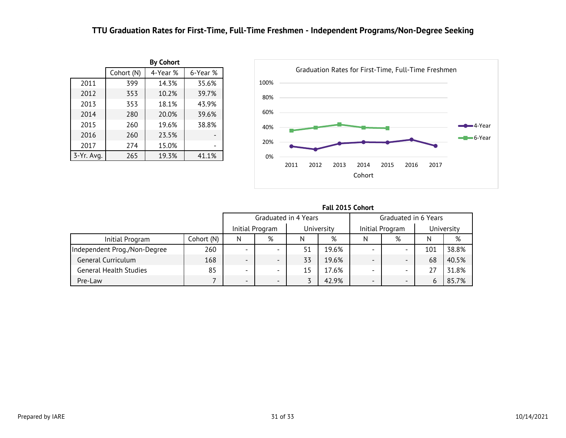### **TTU Graduation Rates for First-Time, Full-Time Freshmen - Independent Programs/Non-Degree Seeking**

<span id="page-31-0"></span>

|            |            | <b>By Cohort</b> |          |
|------------|------------|------------------|----------|
|            | Cohort (N) | 4-Year %         | 6-Year % |
| 2011       | 397        | 14.4%            | 35.8%    |
| 2012       | 353        | 10.2%            | 39.7%    |
| 2013       | 353        | 18.1%            | 43.9%    |
| 2014       | 280        | 20.0%            | 39.6%    |
| 2015       | 260        | 19.6%            | 38.8%    |
| 2016       | 260        | 23.5%            |          |
| 2017       | 274        | 15.0%            |          |
| 3-Yr. Avg. | 265        | 19.3%            | 41.1%    |



|                               |            | FAIL ZUIJ LUIIUI L       |                 |                      |            |                          |                          |            |       |  |  |  |
|-------------------------------|------------|--------------------------|-----------------|----------------------|------------|--------------------------|--------------------------|------------|-------|--|--|--|
|                               |            |                          |                 | Graduated in 4 Years |            | Graduated in 6 Years     |                          |            |       |  |  |  |
|                               |            |                          | Initial Program |                      | University |                          | Initial Program          | University |       |  |  |  |
| Initial Program               | Cohort (N) | N                        | %               | N                    | %          |                          | %                        | N          | %     |  |  |  |
| Independent Prog./Non-Degree  | 260        |                          |                 | 51                   | 19.6%      | -                        |                          | 101        | 38.8% |  |  |  |
| General Curriculum            | 168        |                          |                 | 33                   | 19.6%      | -                        | $\overline{\phantom{0}}$ | 68         | 40.5% |  |  |  |
| <b>General Health Studies</b> | 85         | $\overline{\phantom{0}}$ |                 | 15                   | 17.6%      | -                        |                          |            | 31.8% |  |  |  |
| Pre-Law                       |            | -                        |                 |                      | 42.9%      | $\overline{\phantom{0}}$ | $\overline{\phantom{0}}$ | 6          | 85.7% |  |  |  |

**Fall 2015 Cohort**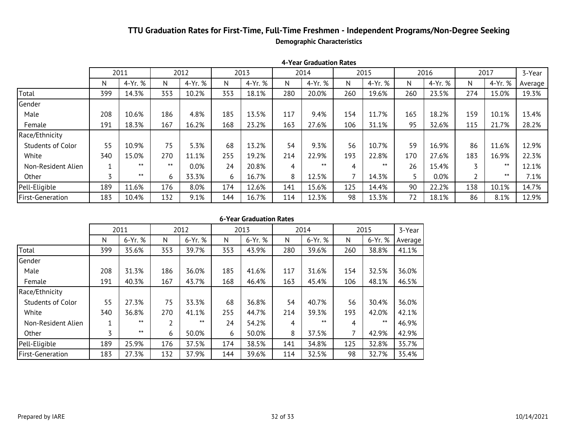### **TTU Graduation Rates for First-Time, Full-Time Freshmen - Independent Programs/Non-Degree Seeking Demographic Characteristics**

|                          | 1 TCAI 9144446011 RACCJ |         |       |         |      |         |      |         |      |         |      |         |                |         |         |
|--------------------------|-------------------------|---------|-------|---------|------|---------|------|---------|------|---------|------|---------|----------------|---------|---------|
|                          | 2011                    |         | 2012  |         | 2013 |         | 2014 |         | 2015 |         | 2016 |         | 2017           |         | 3-Year  |
|                          | N                       | 4-Yr. % | N     | 4-Yr. % | N    | 4-Yr. % | N    | 4-Yr. % | N    | 4-Yr. % | N.   | 4-Yr. % | N.             | 4-Yr. % | Average |
| Total                    | 397                     | 14.4%   | 353   | 10.2%   | 353  | 18.1%   | 280  | 20.0%   | 260  | 19.6%   | 260  | 23.5%   | 274            | 15.0%   | 19.3%   |
| Gender                   |                         |         |       |         |      |         |      |         |      |         |      |         |                |         |         |
| Male                     | 208                     | 10.6%   | 186   | 4.8%    | 185  | 13.5%   | 117  | 9.4%    | 154  | 11.7%   | 165  | 18.2%   | 159            | 10.1%   | 13.4%   |
| Female                   | 189                     | 18.5%   | 167   | 16.2%   | 168  | 23.2%   | 163  | 27.6%   | 106  | 31.1%   | 95   | 32.6%   | 115            | 21.7%   | 28.2%   |
| Race/Ethnicity           |                         |         |       |         |      |         |      |         |      |         |      |         |                |         |         |
| <b>Students of Color</b> | 54                      | 11.1%   | 75    | 5.3%    | 68   | 13.2%   | 54   | 9.3%    | 56   | 10.7%   | 59   | 16.9%   | 86             | 11.6%   | 12.9%   |
| White                    | 339                     | 15.0%   | 270   | 11.1%   | 255  | 19.2%   | 214  | 22.9%   | 193  | 22.8%   | 170  | 27.6%   | 183            | 16.9%   | 22.3%   |
| Non-Resident Alien       |                         | $***$   | $***$ | 0.0%    | 24   | 20.8%   | 4    | $***$   | 4    | $***$   | 26   | 15.4%   | $\overline{ }$ | $***$   | 12.1%   |
| Other                    | $\overline{ }$          | $***$   | 6     | 33.3%   | 6    | 16.7%   | 8    | 12.5%   |      | 14.3%   |      | $0.0\%$ | h              | $***$   | 7.1%    |
| Pell-Eligible            | 189                     | 11.6%   | 176   | 8.0%    | 174  | 12.6%   | 141  | 15.6%   | 125  | 14.4%   | 90   | 22.2%   | 138            | 10.1%   | 14.7%   |
| <b>First-Generation</b>  | 182                     | 10.4%   | 132   | 9.1%    | 144  | 16.7%   | 114  | 12.3%   | 98   | 13.3%   | 72   | 18.1%   | 86             | 8.1%    | 12.9%   |

|  | 6-Year Graduation Rates |  |
|--|-------------------------|--|
|--|-------------------------|--|

|                          | 2011 |         | 2012 |         | 2013 |         | 2014 |         | 2015 |         | 3-Year  |
|--------------------------|------|---------|------|---------|------|---------|------|---------|------|---------|---------|
|                          | N    | 6-Yr. % | N    | 6-Yr. % | N    | 6-Yr. % | N    | 6-Yr. % | N    | 6-Yr. % | Average |
| Total                    | 397  | 35.8%   | 353  | 39.7%   | 353  | 43.9%   | 280  | 39.6%   | 260  | 38.8%   | 41.1%   |
| Gender                   |      |         |      |         |      |         |      |         |      |         |         |
| Male                     | 208  | 31.3%   | 186  | 36.0%   | 185  | 41.6%   | 117  | 31.6%   | 154  | 32.5%   | 36.0%   |
| Female                   | 189  | 40.7%   | 167  | 43.7%   | 168  | 46.4%   | 163  | 45.4%   | 106  | 48.1%   | 46.5%   |
| Race/Ethnicity           |      |         |      |         |      |         |      |         |      |         |         |
| <b>Students of Color</b> | 54   | 27.8%   | 75   | 33.3%   | 68   | 36.8%   | 54   | 40.7%   | 56   | 30.4%   | 36.0%   |
| White                    | 339  | 36.9%   | 270  | 41.1%   | 255  | 44.7%   | 214  | 39.3%   | 193  | 42.0%   | 42.1%   |
| Non-Resident Alien       |      | $***$   | 2    | $***$   | 24   | 54.2%   | 4    | $***$   | 4    | $***$   | 46.9%   |
| Other                    | 3    | $***$   | 6    | 50.0%   | 6    | 50.0%   | 8    | 37.5%   | 7    | 42.9%   | 42.9%   |
| Pell-Eligible            | 189  | 25.9%   | 176  | 37.5%   | 174  | 38.5%   | 141  | 34.8%   | 125  | 32.8%   | 35.7%   |
| <b>First-Generation</b>  | 182  | 27.5%   | 132  | 37.9%   | 144  | 39.6%   | 114  | 32.5%   | 98   | 32.7%   | 35.4%   |